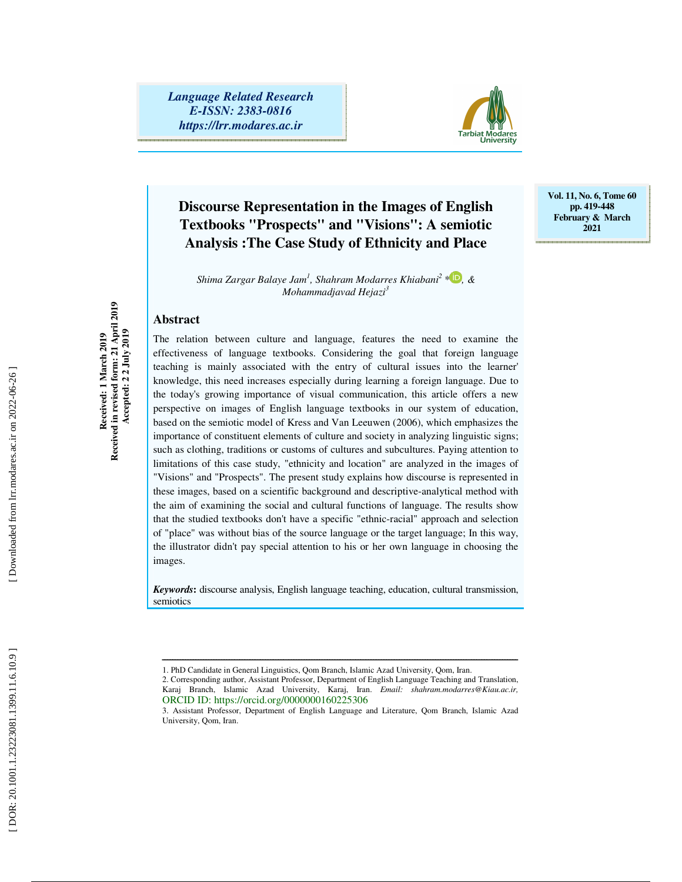*Language Related Research E-ISSN: 2383-0816 https://lrr.modares.ac.ir*



# **Discourse Representation in the Images of English Textbooks "Prospects" and "Visions": A semiotic Analysis :The Case Study of Ethnicity and Place**

*Shima Zargar Balaye Jam 1 , Shahram Modarres Khiabani 2 \* , & Mohammadjavad Hejazi 3*

**Vol. 11, No. 6, Tome 60 pp. 419-448 February & March 2021** 

#### **Abstract**

Received in revised form: 21 April 2019<br>Accepted: 2 2 July 2019 **Received in revised form: 21 April 2019 Accepted: 2 2 July 2019**  Received: 1 March 2019 **Received: 1 March 2019** 

The relation between culture and language, features the need to examine the effectiveness of language textbooks. Considering the goal that foreign language teaching is mainly associated with the entry of cultural issues into the learner' knowledge, this need increases especially during learning a foreign language. Due to the today's growing importance of visual communication, this article offers a new perspective on images of English language textbooks in our system of education, based on the semiotic model of Kress and Van Leeuwen (2006), which emphasizes the importance of constituent elements of culture and society in analyzing linguistic signs; such as clothing, traditions or customs of cultures and subcultures. Paying attention to limitations of this case study, "ethnicity and location" are analyzed in the images of "Visions" and "Prospects". The present study explains how discourse is represented in these images, based on a scientific background and descriptive-analytical method with the aim of examining the social and cultural functions of language. The results show that the studied textbooks don't have a specific "ethnic-racial" approach and selection of "place" was without bias of the source language or the target language; In this way, the illustrator didn't pay special attention to his or her own language in choosing the images.

*Keywords***:** discourse analysis, English language teaching, education, cultural transmission, semiotics

ــــــــــــــــــــــــــــــــــــــــــــــــــــــــــــــــــــــــــــــــــــــــــــــــــــــــــــــــــــــــــــــــــــــــــ

<sup>1.</sup> PhD Candidate in General Linguistics, Qom Branch, Islamic Azad University, Qom, Iran.

<sup>2.</sup> Corresponding author, Assistant Professor, Department of English Language Teaching and Translation, Karaj Branch, Islamic Azad University, Karaj, Iran. *Email: shahram.modarres@Kiau.ac.ir,*  ORCID ID: https://orcid.org/0000000160225306

<sup>3.</sup> Assistant Professor, Department of English Language and Literature, Qom Branch, Islamic Azad University, Qom, Iran.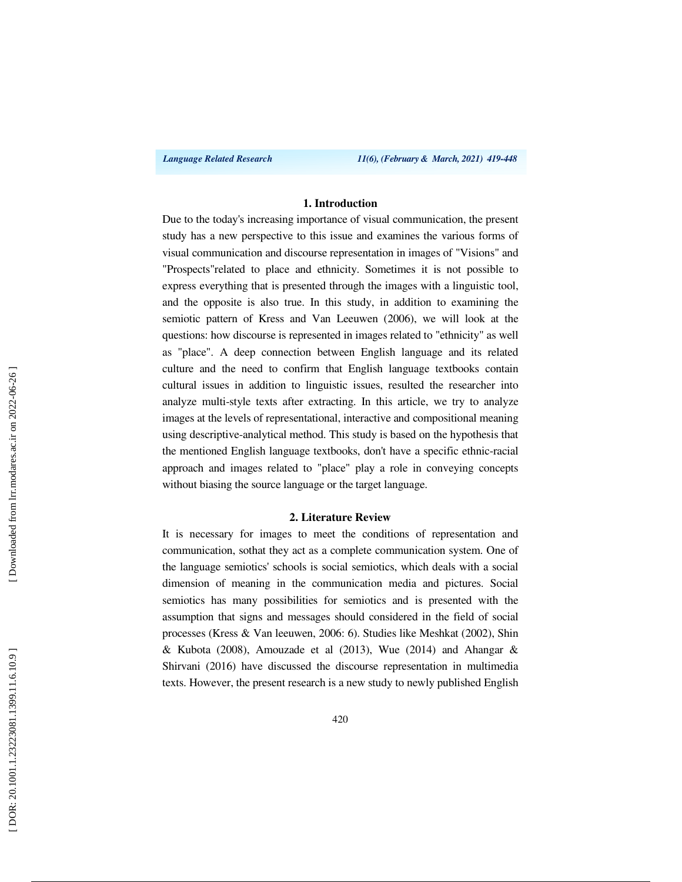#### **1. Introduction**

Due to the today's increasing importance of visual communication, the present study has a new perspective to this issue and examines the various forms of visual communication and discourse representation in images of "Visions" and "Prospects"related to place and ethnicity. Sometimes it is not possible to express everything that is presented through the images with a linguistic tool, and the opposite is also true. In this study, in addition to examining the semiotic pattern of Kress and Van Leeuwen (2006), we will look at the questions: how discourse is represented in images related to "ethnicity" as well as "place". A deep connection between English language and its related culture and the need to confirm that English language textbooks contain cultural issues in addition to linguistic issues, resulted the researcher into analyze multi-style texts after extracting. In this article, we try to analyze images at the levels of representational, interactive and compositional meaning using descriptive-analytical method. This study is based on the hypothesis that the mentioned English language textbooks, don't have a specific ethnic-racial approach and images related to "place" play a role in conveying concepts without biasing the source language or the target language.

#### **2. Literature Review**

It is necessary for images to meet the conditions of representation and communication, sothat they act as a complete communication system. One of the language semiotics' schools is social semiotics, which deals with a social dimension of meaning in the communication media and pictures. Social semiotics has many possibilities for semiotics and is presented with the assumption that signs and messages should considered in the field of social processes (Kress & Van leeuwen, 2006: 6). Studies like Meshkat (2002), Shin  $& Kubota$  (2008), Amouzade et al (2013), Wue (2014) and Ahangar  $&$ Shirvani (2016) have discussed the discourse representation in multimedia texts. However, the present research is a new study to newly published English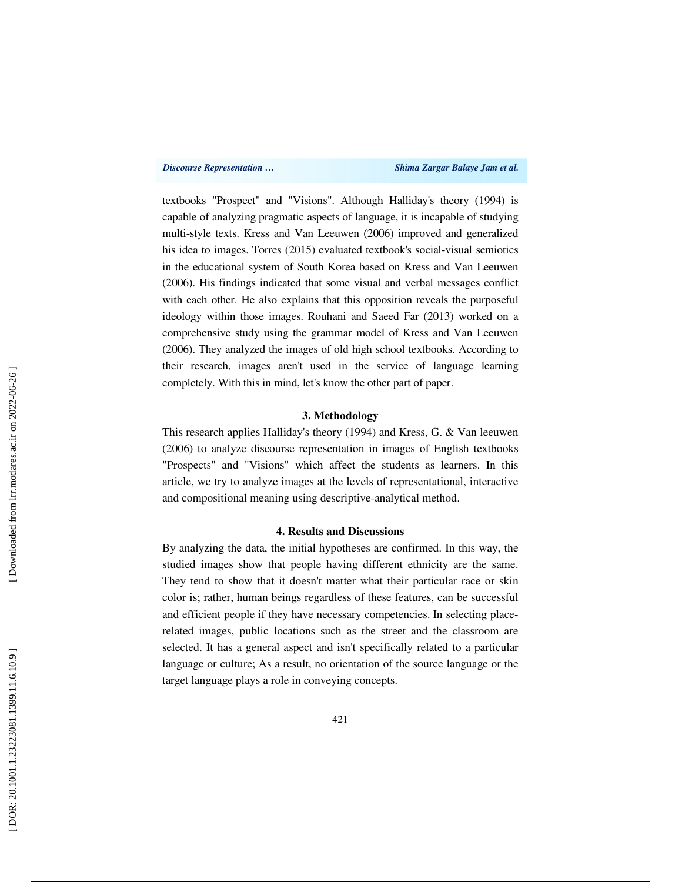textbooks "Prospect" and "Visions". Although Halliday's theory (1994) is capable of analyzing pragmatic aspects of language, it is incapable of studying multi-style texts. Kress and Van Leeuwen (2006) improved and generalized his idea to images. Torres (2015) evaluated textbook's social-visual semiotics in the educational system of South Korea based on Kress and Van Leeuwen (2006). His findings indicated that some visual and verbal messages conflict with each other. He also explains that this opposition reveals the purposeful ideology within those images. Rouhani and Saeed Far (2013) worked on a comprehensive study using the grammar model of Kress and Van Leeuwen (2006). They analyzed the images of old high school textbooks. According to their research, images aren't used in the service of language learning completely. With this in mind, let's know the other part of paper.

#### **3. Methodology**

This research applies Halliday's theory (1994) and Kress, G. & Van leeuwen (2006) to analyze discourse representation in images of English textbooks "Prospects" and "Visions" which affect the students as learners. In this article, we try to analyze images at the levels of representational, interactive and compositional meaning using descriptive-analytical method.

#### **4. Results and Discussions**

By analyzing the data, the initial hypotheses are confirmed. In this way, the studied images show that people having different ethnicity are the same. They tend to show that it doesn't matter what their particular race or skin color is; rather, human beings regardless of these features, can be successful and efficient people if they have necessary competencies. In selecting placerelated images, public locations such as the street and the classroom are selected. It has a general aspect and isn't specifically related to a particular language or culture; As a result, no orientation of the source language or the target language plays a role in conveying concepts.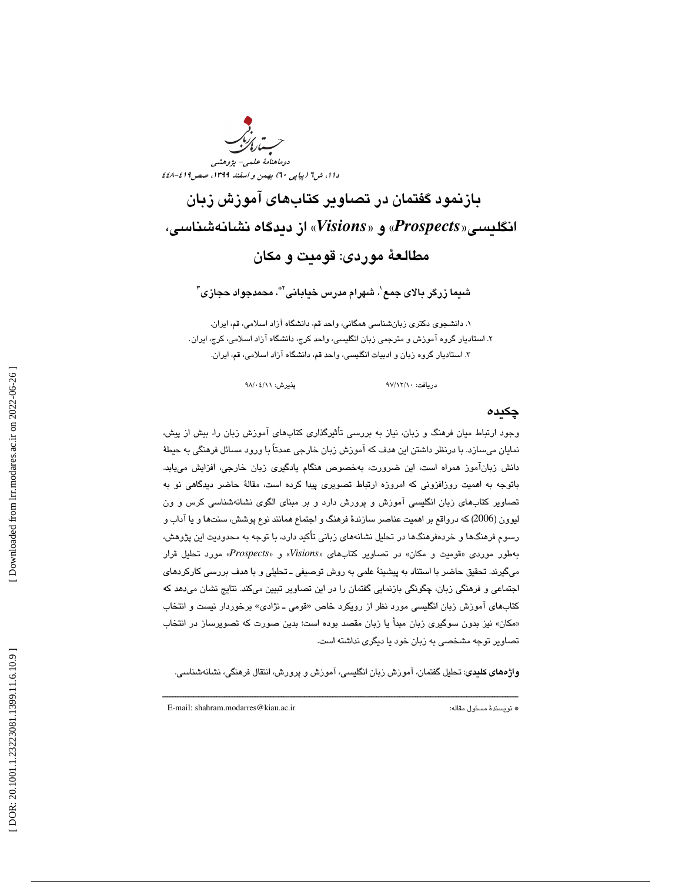

بازنمود گفتمان در تصاوير كتابهاي آموزش زبان از ديدگاه نشانهشناسي، «*Visions* و « «*Prospects* انگليسي« مطالعة موردي: قوميت و مكان

شىما زرگر بالای جمع`، شهرام مدرس خيابانى™، محمدجواد حجازى"

. 1 دانشجوي دكتري زبانشناسي همگاني، واحد قم، دانشگاه آزاد اسلامي، قم، ايران. . 2 استاديار گروه آموزش و مترجمي زبان انگليسي، واحد كرج، دانشگاه آزاد اسلامي، كرج، ايران . . 3 استاديار گروه زبان و ادبيات انگليسي، واحد قم، دانشگاه آزاد اسلامي، قم، ايران.

دريافت: 10/ 12/ 97 پذيرش: 11/ 04/ 98

### چكيده

وجود ارتباط ميان فرهنگ و زبان، نياز به بررسي تأثيرگذاري كتابهاي آموزش زبان را، بيش از پيش، نمايان ميسازد. با درنظر داشتن اين هدف كه آموزش زبان خارجي عمدتاً با ورود مسائل فرهنگي به حيطهٔ دانش زبانآموز همراه است، اين ضرورت، بهخصوص هنگام يادگيري زبان خارجي، افزايش مييابد. باتوجه به اهميت روزافزوني كه امروزه ارتباط تصويري پيدا كرده است، مقالة حاضر ديدگاهي نو به تصاوير كتابهاي زبان انگليسي آموزش و پرورش دارد و بر مبناي الگوي نشانهشناسي كرس و ون ليوون (2006) كه درواقع بر اهميت عناصر سازندهٔ فرهنگ و اجتماع همانند نوع پوشش، سنتها و يا آداب و رسوم فرهنگها و خردهفرهنگها در تحليل نشانههاي زباني تأكيد دارد، با توجه به محدوديت اين پژوهش، بهطور موردي «قوميت و مكان» در تصاوير كتابهاي «Visions» و «Prospects» مورد تحليل قرار ميگيرند. تحقيق حاضر با استناد به پيشينة علمي به روش توصيفي ـ تحليلي و با هدف بررسي كاركردهاي اجتماعي و فرهنگي زبان، چگونگي بازنمايي گفتمان را در اين تصاوير تبيين ميكند. نتايج نشان ميدهد كه كتابهاى آموزش زبان انگليسى مورد نظر از رويكرد خاص «قومى ــ نژادى» برخوردار نيست و انتخاب مكان» نيز بدون سوگيري زبان مبدأ يا زبان مقصد بوده است؛ بدين صورت كه تصويرساز در انتخاب » تصاوير توجه مشخصي به زبان خود يا ديگري نداشته است.

واژههاي كليدي: تحليل گفتمان، آموزش زبان انگليسي، آموزش و پرورش، انتقال فرهنگي، نشانهشناسي.

ــــــــــــــــــــــــــــــــــــــــــــــــــــــــــــــــــــــــــــــــــــــــــــــــــــــــــــــــــــــــــــــــــــــــــ

E-mail: shahram.modarres@kiau.ac.ir :مقاله مسئول نويسندة\*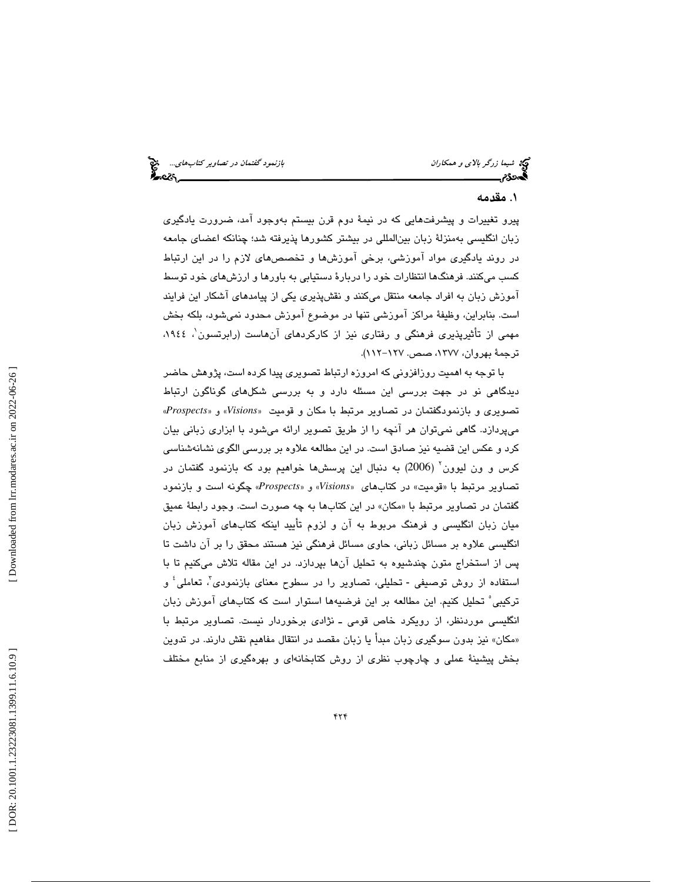# . مقدمه 1

پيرو تغييرات و پيشرفتهايي كه در نيمة دوم قرن بيستم بهوجود آمد، ضرورت يادگيري زبان انگليسي بهمنزلة زبان بينالمللي در بيشتر كشورها پذيرفته شد؛ چنانكه اعضاي جامعه در روند يادگيري مواد آموزشي، برخي آموزشها و تخصصهاي لازم را در اين ارتباط كسب ميكنند. فرهنگها انتظارات خود را دربارة دستيابي به باورها و ارزشهاي خود توسط آموزش زبان به افراد جامعه منتقل ميكنند و نقشپذيري يكي از پيامدهاي آشكار اين فرايند است. بنابراين، وظيفة مراكز آموزشي تنها در موضوع آموزش محدود نميشود، بلكه بخش مهمي از تأثيرپذيري فرهنگي و رفتاري نيز از كاركردهاي آنهاست (رابرتسون 1 ،1944 ، ترجمة بهروان، ،1377 صص. -127 112).

با توجه به اهميت روزافزوني كه امروزه ارتباط تصويري پيدا كرده است، پژوهش حاضر ديدگاهي نو در جهت بررسي اين مسئله دارد و به بررسي شكلهاي گوناگون ارتباط تصويري و بازنمودگفتمان در تصاوير مرتبط با مكان و قوميت « *Visions* » و» *Prospects* « ميپردازد. گاهي نميتوان هر آنچه را از طريق تصوير ارائه ميشود با ابزاري زباني بيان كرد و عكس اين قضيه نيز صادق است. در اين مطالعه علاوه بر بررسي الگوي نشانهشناسي كرس و ون ليوون 2 ( 2006) به دنبال اين پرسشها خواهيم بود كه بازنمود گفتمان در تصاوير مرتبط با «قوميت» در كتابهاي «Visions» و «Prospects» چگونه است و بازنمود گفتمان در تصاوير مرتبط با «مكان» در اين كتابها به چه صورت است. وجود رابطهٔ عميق ميان زبان انگليسي و فرهنگ مربوط به آن و لزوم تأييد اينكه كتابهاي آموزش زبان انگليسي علاوه بر مسائل زباني، حاوي مسائل فرهنگي نيز هستند محقق را بر آن داشت تا پس از استخراج متون چندشيوه به تحليل آنها بپردازد. در اين مقاله تلاش ميكنيم تا با استفاده از روش توصيفي - تحليلي، تصاوير را در سطوح معناي بازنمودي<sup>7</sup>، تعاملي<sup>؛</sup> و تركيبي 5 تحليل كنيم. اين مطالعه بر اين فرضيهها استوار است كه كتابهاي آموزش زبان انگليسي موردنظر، از رويكرد خاص قومي ـ نژادي برخوردار نيست. تصاوير مرتبط با مكان» نيز بدون سوگيري زبان مبدأ يا زبان مقصد در انتقال مفاهيم نقش دارند. در تدوين » 1 بخش پيشينة عملي و چارچوب نظري از روش كتابخانهاي و بهرهگيري از منابع مختلف

 [\[ DOR: 20.1001.1.23223081.1399.11.6.10](https://dorl.net/dor/20.1001.1.23223081.1399.11.6.10.9).9 ] [\[ Downloaded from lrr.modares.ac.ir on 20](https://lrr.modares.ac.ir/article-14-29439-fa.html)22-06-26 ] Downloaded from lrr.modares.ac.ir on 2022-06-26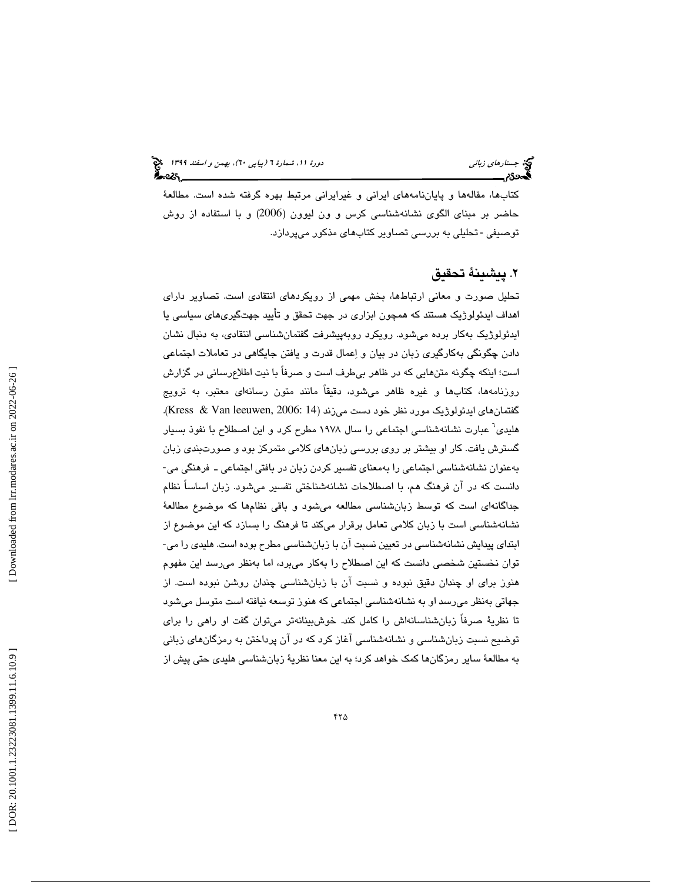# جستارهاي زباني (به اسفند 1399 )، بهمن و اسفند 1399 (بيا بهمن و اسفند 1394 )

كتابها، مقالهها و پاياننامههاي ايراني و غيرايراني مرتبط بهره گرفته شده است. مطالعة حاضر بر مبناي الگوي نشانهشناسي كرس و ون ليوون (2006) و با استفاده از روش توصيفي - تحليلي به بررسي تصاوير كتابهاي مذكور مي<u>پر</u>دازد.

# . پيشينة تحقيق 2

تحليل صورت و معاني ارتباطها، بخش مهمي از رويكردهاي انتقادي است. تصاوير داراي اهداف ايدئولوژيك هستند كه همچون ابزاري در جهت تحقق و تأييد جهتگيريهاي سياسي يا ايدئولوژيك بهكار برده ميشود. رويكرد روبهپيشرفت گفتمانشناسي انتقادي، به دنبال نشان دادن چگونگي بهكارگيري زبان در بيان و اعمال قدرت و يافتن جايگاهي در تعاملات اجتماعي است؛ اينكه چگونه متنهايي كه در ظاهر بيطرف است و صرفاً با نيت اطلاعرساني در گزارش روزنامهها، كتابها و غيره ظاهر ميشود، دقيقاً مانند متون رسانهاي معتبر، به ترويج گفتمانهاي ايدئولوژيک مورد نظر خود دست مي;ند (14 :Kress & Van leeuwen, 2006). هليدي 6 عبارت نشانهشناسي اجتماعي را سال 1978 مطرح كرد و اين اصطلاح با نفوذ بسيار گسترش يافت. كار او بيشتر بر روي بررسي زبانهاي كلامي متمركز بود و صورتبندي زبان<br>بهعنوان نشانهشناسي اجتماعي را بهمعناي تفسير كردن زبان در بافتي اجتماعي ـ فرهنگي مي-دانست كه در آن فرهنگ هم، با اصطلاحات نشانهشناختي تفسير ميشود. زبان اساساً نظام جداگانهاي است كه توسط زبانشناسي مطالعه ميشود و باقي نظامها كه موضوع مطالعة نشانهشناسي است با زبان كلامي تعامل برقرار ميكند تا فرهنگ را بسازد كه اين موضوع از ابتداي پيدايش نشانهشناسي در تعيين نسبت آن با زبانشناسي مطرح بوده است. هليدي را مي-توان نخستين شخصي دانست كه اين اصطلاح را بهكار ميبرد، اما بهنظر ميرسد اين مفهوم هنوز براي او چندان دقيق نبوده و نسبت آن با زبانشناسي چندان روشن نبوده است. از جهاتی بهنظر میرسد او به نشانهشناسی اجتماعی که هنوز توسعه نیافته است متوسل میشود تا نظرية صرفاً زبانشناسانهاش را كامل كند. خوشبينانهتر ميتوان گفت او راهي را براي توضيح نسبت زبانشناسي و نشانهشناسي آغاز كرد كه در آن پرداختن به رمزگانهاي زباني 6 به مطالعة ساير رمزگانها كمك خواهد كرد؛ به اين معنا نظرية زبانشناسي هليدي حتي پيش از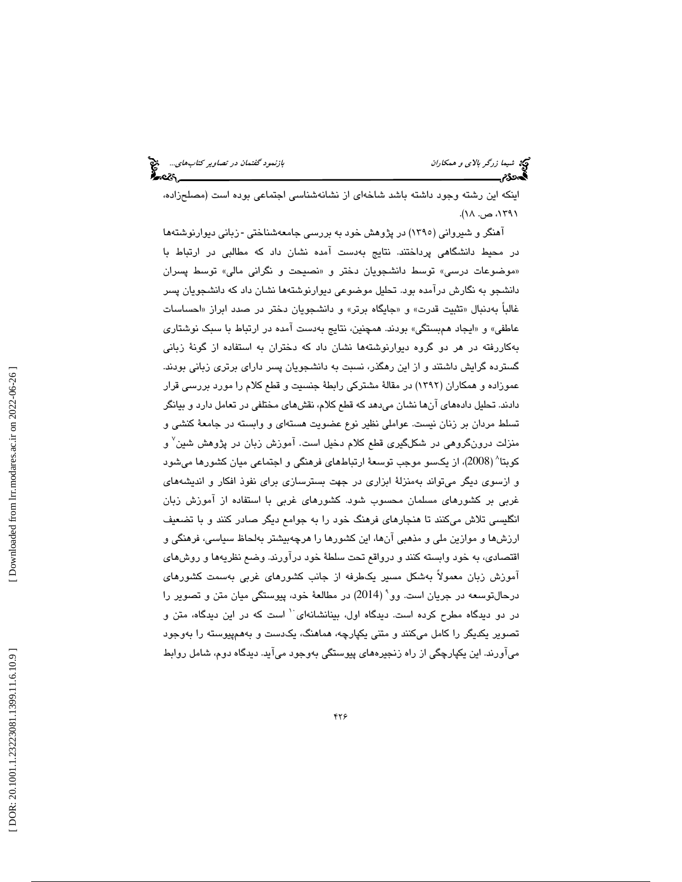اينكه اين رشته وجود داشته باشد شاخهاي از نشانهشناسي اجتماعي بوده است (مصلحزاده، ، ۱۳۹۱، ص. ۱۸).<br>۱۳۹۱، ص. ۱۸).

> .<br>آهنگر و شیروان*ی* (۱۳۹۰) در پژوهش خود به بررس*ی* جامعهشناختی -زبانی دیوارنوشتهها در محيط دانشگاهي پرداختند. نتايج بهدست آمده نشان داد كه مطالبي در ارتباط با «موضوعات درسي» توسط دانشجويان دختر و «نصيحت و نگراني مالي» توسط پسران دانشجو به نگارش درآمده بود. تحليل موضوعي ديوارنوشتهها نشان داد كه دانشجويان پسر غالباً بهدنبال «تثبيت قدرت» و «جايگاه برتر» و دانشجويان دختر در صدد ابراز «احساسات عاطفي» «و ايجاد همبستگي» بودند. همچنين، نتايج بهدست آمده در ارتباط با سبك نوشتاري بهكاررفته در هر دو گروه ديوارنوشتهها نشان داد كه دختران به استفاده از گون ة زباني گسترده گرايش داشتند و از اين رهگذر، نسبت به دانشجويان پسر داراي برتري زباني بودند. عموزاده و همكاران (1392) در مقالة مشتركي رابطة جنسيت و قطع كلام را مورد بررسي قرار دادند. تحلیل دادههای آنها نشان میدهد كه قطع كلام، نقشهای مختلفی در تعامل دارد و بیانگر تسلط مردان بر زنان نيست. عواملي نظير نوع عضويت هستهاي و وابسته در جامعهٔ كنشي و منزلت درونگروهی در شكلگیری قطع كلام دخیل است. آموزش زبان در پژوهش شین<sup>٬</sup> و كوبتا^ (2008)، از يكسو موجب توسعهٔ ارتباطهاي فرهنگي و اجتماعي ميان كشورها ميشود و ازسوي ديگر ميتواند بهمنزلة ابزاري در جهت بسترسازي براي نفوذ افكار و انديشههاي غربي بر كشورهاي مسلمان محسوب شود. كشورهاي غربي با استفاده از آموزش زبان انگليسي تلاش ميكنند تا هنجارهاي فرهنگ خود را به جوامع ديگر صادر كنند و با تضعيف ارزشها و موازين ملي و مذهبي آنها، اين كشورها را هرچهبيشتر بهلحاظ سياسي، فرهنگي و اقتصادي، به خود وابسته كنند و درواقع تحت سلطة خود درآورند. وضع نظريهها و روشهاي آموزش زبان معمولاً بهشكل مسير يكطرفه از جانب كشورهاي غربي بهسمت كشورهاي درحالتوسعه در جريان است. وو 9 ( 2014) در مطالعة خود، پيوستگي ميان متن و تصوير را در دو ديدگاه مطرح كرده است. ديدگاه اول، بينانشانهای `` است كه در اين ديدگاه، متن و تصوير يكديگر را كامل ميكنند و متني يكپارچه، هماهنگ، يكدست و بههمپيوسته را بهوجود 7 ميآورند. اين يكپارچگي از راه زنجيرههاي پيوستگي بهوجود ميآيد. ديدگاه دوم، شامل روابط

 [\[ DOR: 20.1001.1.23223081.1399.11.6.10](https://dorl.net/dor/20.1001.1.23223081.1399.11.6.10.9).9 ] [\[ Downloaded from lrr.modares.ac.ir on 20](https://lrr.modares.ac.ir/article-14-29439-fa.html)22-06-26 ] Downloaded from lrr.modares.ac.ir on 2022-06-26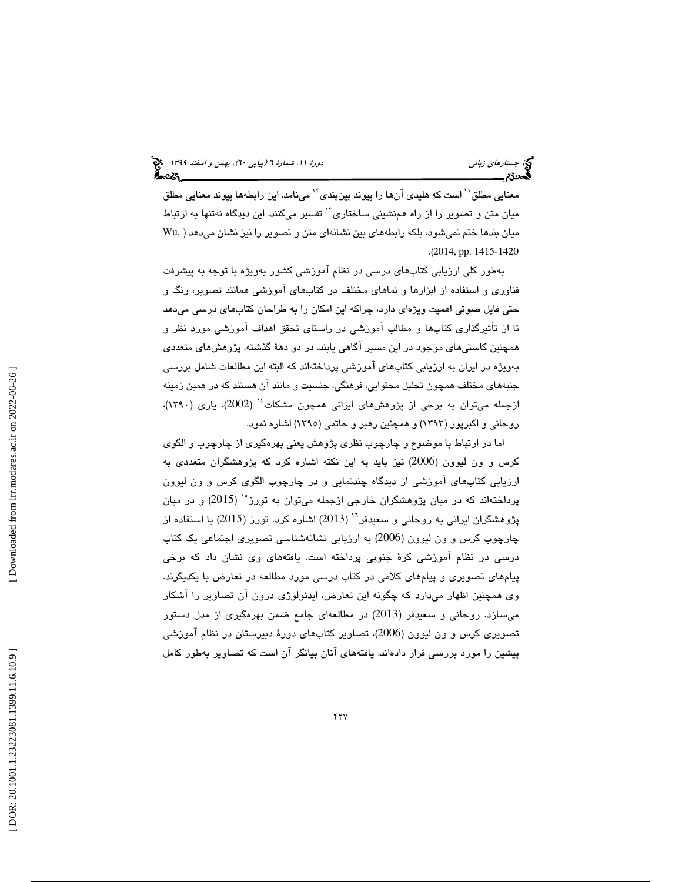معنايي مطلق<sup>\\</sup> است كه هليدي آنها را پيوند بينبندي<sup>›\</sup> مينامد. اين رابطهها پيوند معنايي مطلق ميان متن و تصوير را از راه همنشيني ساختاري<sup>۱۲</sup> تفسير ميكنند. اين ديدگاه نهتنها به ارتباط ميان بندها ختم نميشود، بلكه رابطههاي بين نشانهاي متن و تصوير را نيز نشان ميدهد ( ,Wu .( 2014, pp. 1415-1420

 بهطور كلي ارزيابي كتابهاي درسي در نظام آموزشي كشور بهويژه با توجه به پيشرفت فناوري و استفاده از ابزارها و نماهاي مختلف در كتابهاي آموزشي همانند تصوير، رنگ و حتي فايل صوتي اهميت ويژهاي دارد، چراكه اين امكان را به طراحان كتابهاي درسي ميدهد تا از تأثيرگذاري كتابها و مطالب آموزشي در راستاي تحقق اهداف آموزشي مورد نظر و همچنين كاستيهاي موجود در اين مسير آگاهي يابند. در دو دهة گذشته، پژوهشهاي متعددي بهويژه در ايران به ارزيابي كتابهاي آموزشي پرداختهاند كه البته اين مطالعات شامل بررسي جنبههاي مختلف همچون تحليل محتوايي، فرهنگي، جنسيت و مانند آن هستند كه در همين زمينه ازجمله ميتوان به برخي از پژوهشهاي ايراني همچون مشكات<sup>،</sup>'' (2002)، ياري (١٣٩٠)، روحاني و اكبرپور (1393) و همچنين رهبر و حاتمي (1395) اشاره نمود.

اما در ارتباط با موضوع و چارچوب نظري پژوهش يعني بهرهگيري از چارچوب و الگوي كرس و ون ليوون (2006) نيز بايد به اين نكته اشاره كرد كه پژوهشگران متعددي به ارزيابي كتابهاي آموزشي از ديدگاه چندنمايي و در چارچوب الگوي كرس و ون ليوون پرداختهاند كه در ميان پژوهشگران خارجي ازجمله ميتوان به تورز°` (2015) و در ميان پژوهشگران ايراني به روحاني و سعيدفر<sup>٦٠</sup> (2013) اشاره كرد. تورز (2015) با استفاده از چارچوب كرس و ون ليوون (2006) به ارزيابي نشانهشناسي تصويري اجتماعي يك كتاب درسي در نظام آموزشي كرة جنوبي پرداخته است. يافتههاي وي نشان داد كه برخي پيامهاي تصويري و پيامهاي كلامي در كتاب درسي مورد مطالعه در تعارض با يكديگرند. وي همچنين اظهار ميدارد كه چگونه اين تعارض، ايدئولوژي درون آن تصاوير را آشكار ميسازد. روحاني و سعيدفر (2013) در مطالعهاي جامع ضمن بهرهگيري از مدل دستور تصويري كرس و ون ليوون (2006)، تصاوير كتابهاي دورة دبيرستان در نظام آموزشي پيشين را مورد بررسي قرار دادهاند. يافتههاي آنان بيانگر آن است كه تصاوير بهطور كامل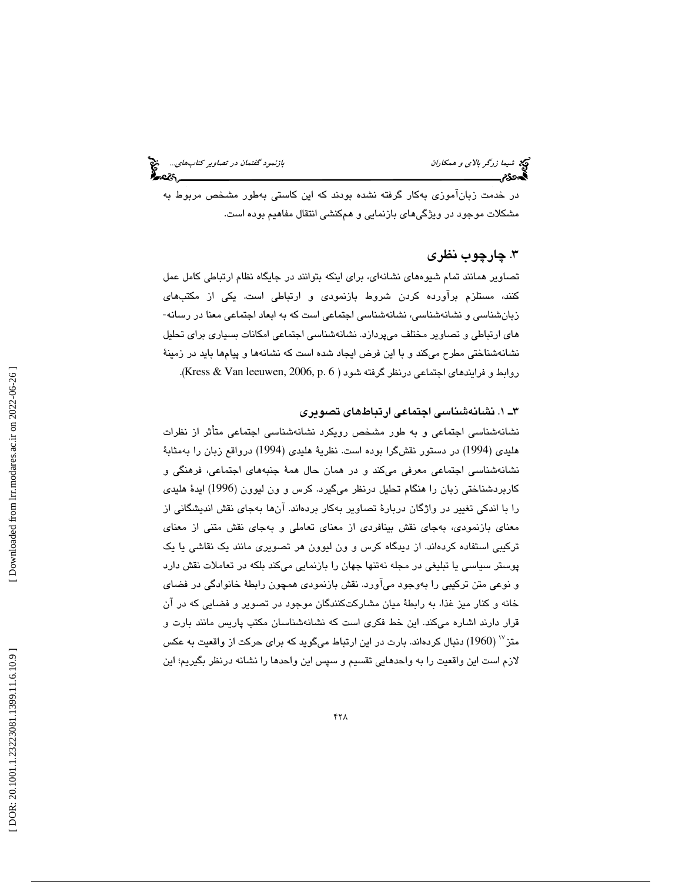در خدمت زبانآموزي بهكار گرفته نشده بودند كه اين كاستي بهطور مشخص مربوط به مشكلات موجود در ويژگيهاي بازنمايي و همكنشي انتقال مفاهيم بوده است.

# . چارچوب نظري 3

تصاوير همانند تمام شيوههاي نشانهاي، براي اينكه بتوانند در جايگاه نظام ارتباطي كامل عمل کنند، مستلزم براورده کردن شروط بازنمودی و ارتباطی است. یکی از مکتبهای<br>زبانشناسی و نشانهشناسی، نشانهشناسی اجتماعی است که به ابعاد اجتماعی معنا در رسانه-هاي ارتباطي و تصاوير مختلف ميپردازد. نشانهشناسي اجتماعي امكانات بسياري براي تحليل نشانهشناختي مطرح ميكند و با اين فرض ايجاد شده است كه نشانهها و پيامها بايد در زمينة روابط و فرايندهاي اجتماعي درنظر گرفته شود ( Kress & Van leeuwen, 2006, p. 6).

#### 3 1ـ . نشانهشناسي اجتماعي ارتباطهاي تصويري

نشانهشناسي اجتماعي و به طور مشخص رويكرد نشانهشناسي اجتماعي متأثر از نظرات هليدي (1994) در دستور نقشگرا بوده است. نظريهٔ هليدي (1994) درواقع زبان را بهمثابهٔ نشانهشناسي اجتماعي معرفي ميكند و در همان حال همهٔ جنبههاي اجتماعي، فرهنگي و كاربردشناختي زبان را هنگام تحليل درنظر ميگيرد. كرس و ون ليوون (1996) ايدهٔ هليدي را با اندكي تغيير در واژگان دربارة تصاوير بهكار بردهاند. آنها بهجاي نقش انديشگاني از معناي بازنمودي، بهجاي نقش بينافردي از معناي تعاملي و بهجاي نقش متني از معناي تركيبي استفاده كردهاند. از ديدگاه كرس و ون ليوون هر تصويري مانند يك نقاشي يا يك پوستر سياسي يا تبليغي در مجله نهتنها جهان را بازنمايي ميكند بلكه در تعاملات نقش دارد و نوعي متن تركيبي را بهوجود ميآورد. نقش بازنمودي همچون رابطة خانوادگي در فضاي خانه و كنار ميز غذا، به رابطة ميان مشاركتكنندگان موجود در تصوير و فضايي كه در آن قرار دارند اشاره ميكند. اين خط فكري است كه نشانهشناسان مكتب پاريس مانند بارت و  $\sim$  متز $^{1960}$ ) دنبال كردهاند. بارت در اين ارتباط ميگويد كه براي حركت از واقعيت به عكس لازم است اين واقعيت را به واحدهايي تقسيم و سپس اين واحدها را نشانه درنظر بگيريم؛ اين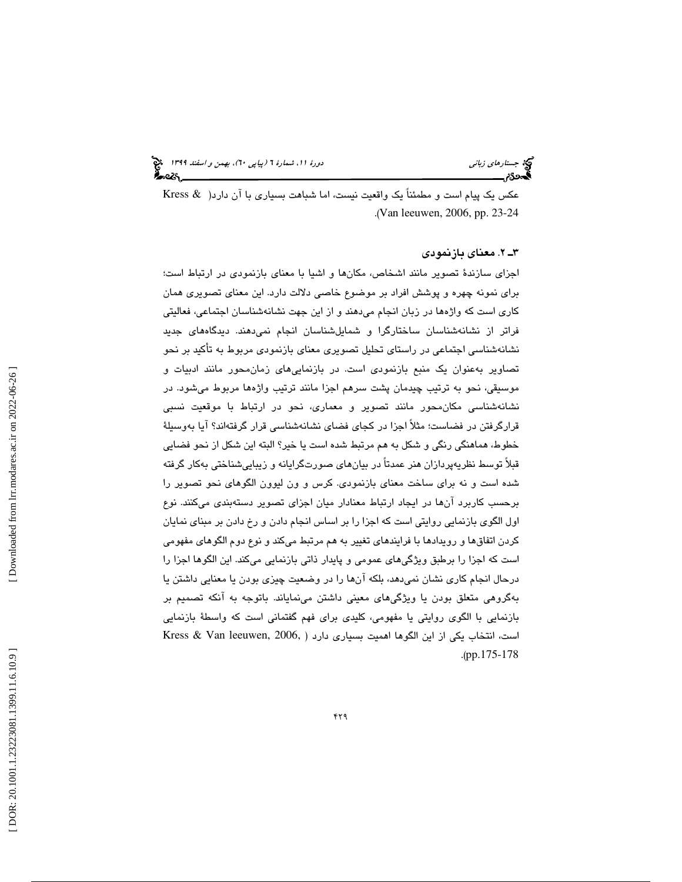عكس يك پيام است و مطمئناً يك واقعيت نيست، اما شباهت بسياري با آن دارد( & Kress .( Van leeuwen, 2006, pp. 23-24

### 3 2ـ . معناي بازنمودي

اجزای سازندهٔ تصویر مانند اشخاص، مكانها و اشیا با معنای بازنمودی در ارتباط است؛ براي نمونه چهره و پوشش افراد بر موضوع خاصي دلالت دارد. اين معناي تصويري همان كاري است كه واژهها در زبان انجام ميدهند و از اين جهت نشانهشناسان اجتماعي، فعاليتي فراتر از نشانهشناسان ساختارگرا و شمايلشناسان انجام نميدهند. ديدگاههاي جديد نشانهشناسي اجتماعي در راستاي تحليل تصويري معناي بازنمودي مربوط به تأكيد بر نحو تصاوير بهعنوان يك منبع بازنمودي است. در بازنماييهاي زمانمحور مانند ادبيات و موسيقي، نحو به ترتيب چيدمان پشت سرهم اجزا مانند ترتيب واژهها مربوط ميشود. در نشانهشناسي مكانمحور مانند تصوير و معماري، نحو در ارتباط با موقعيت نسبي قرارگرفتن در فضاست؛ مثلاً اجزا در كجاي فضاي نشانهشناسي قرار گرفتهاند؟ آيا بهوسيلة خطوط، هماهنگي رنگي و شكل به هم مرتبط شده است يا خير؟ البته اين شكل از نحو فضايي قبلاً توسط نظريهپردازان هنر عمدتاً در بيانهاي صورتگرايانه و زيباييشناختي بهكار گرفته شده است و نه براي ساخت معناي بازنمودي. كرس و ون ليوون الگوهاي نحو تصوير را برحسب كاربرد آنها در ايجاد ارتباط معنادار ميان اجزاي تصوير دستهبندي ميكنند. نوع اول الگوي بازنمايي روايتي است كه اجزا را بر اساس انجام دادن و رخ دادن بر مبناي نمايان كردن اتفاقها و رويدادها با فرايندهاي تغيير به هم مرتبط ميكند و نوع دوم الگوهاي مفهومي است كه اجزا را برطبق ويژگيهاي عمومي و پايدار ذاتي بازنمايي ميكند. اين الگوها اجزا را درحال انجام كاري نشان نميدهد، بلكه آنها را در وضعيت چيزي بودن يا معنايي داشتن يا بهگروهي متعلق بودن يا ويژگيهاي معيني داشتن مينماياند. باتوجه به آنكه تصميم بر بازنمايي با الگوي روايتي يا مفهومي، كليدي براي فهم گفتماني است كه واسطة بازنمايي است، انتخاب يكي از اين الگوها اهميت بسياري دارد ( Kress & Van leeuwen, 2006, .( pp.175-178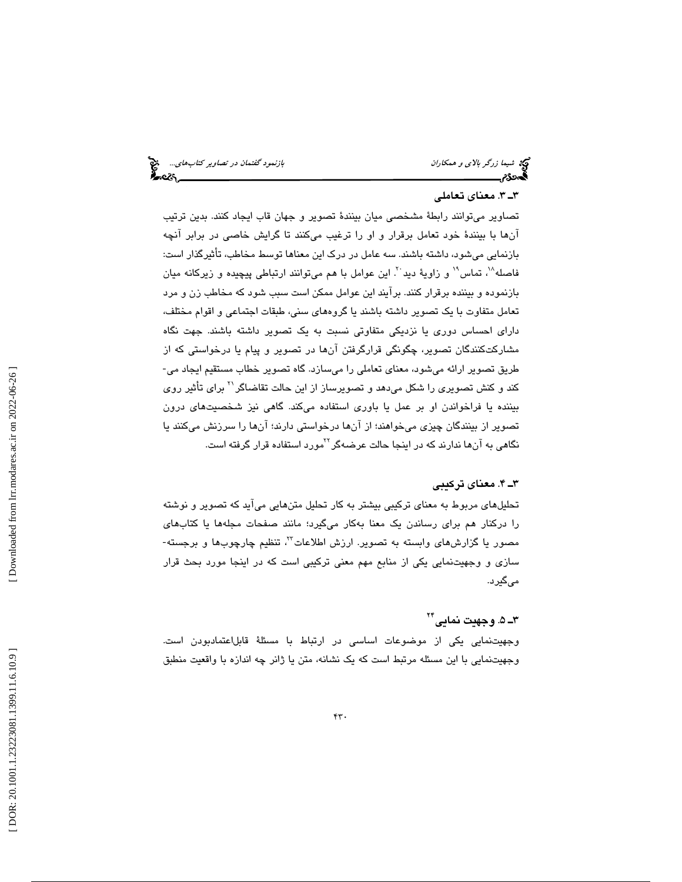#### 3 3ـ . معناي تعاملي

تصاوير ميتوانند رابطة مشخصي ميان بينندة تصوير و جهان قاب ايجاد كنند. بدين ترتيب آنها با بينندة خود تعامل برقرار و او را ترغيب ميكنند تا گرايش خاصي در برابر آنچه بازنمايي ميشود، داشته باشند. سه عامل در درك اين معناها توسط مخاطب، تأثيرگذار است: فاصله^`، تماس`` و زاويهٔ ديد ``. اين عوامل با هم ميتوانند ارتباطي پيچيده و زيركانه ميان بازنموده و بيننده برقرار كنند. برآيند اين عوامل ممكن است سبب شود كه مخاطب زن و مرد تعامل متفاوت با يك تصوير داشته باشند يا گروههاي سني، طبقات اجتماعي و اقوام مختلف، داراي احساس دوري يا نزديكي متفاوتي نسبت به يك تصوير داشته باشند. جهت نگاه مشارکتکنندگان تصوير، چگونگی قرارگرفتن آنها در تصوير و پيام يا درخواستی که از<br>طريق تصوير ارائه میشود، معنای تعاملی را میسازد. گاه تصوير خطاب مستقيم ايجاد می-کند و کنش تصويري را شکل ميدهد و تصويرساز از اين حالت تقاضاگر<sup>۲۱</sup> براي تأثير روي بيننده يا فراخواندن او بر عمل يا باوري استفاده ميكند. گاهي نيز شخصيتهاي درون تصوير از بينندگان چيزي ميخواهند؛ از آنها درخواستي دارند؛ آنها را سرزنش ميكنند يا نگاهی به آنها ندارند که در اینجا حالت عرضهگر<sup>٬٬</sup>مورد استفاده قرار گرفته است.

#### ۳ـ ۴. معناي تركيبي

تحليلهاي مربوط به معناي تركيبي بيشتر به كار تحليل متنهايي ميآيد كه تصوير و نوشته را دركنار هم براي رساندن يك معنا بهكار ميگيرد؛ مانند صفحات مجلهها يا كتابهاي مصور يا گزارش $\mathfrak{sl}_2$  وابسته به تصوير. ارزش اطلاعات $^{W}$ ، تنظيم چارچوب $\mathfrak{sl}_2$  و برجسته-سازي و وجهيتنمايي يكي از منابع مهم معني تركيبي است كه در اينجا مورد بحث قرار ميگيرد.

# ۳ــ ۵. وجهيت نمايي\*`

وجهيتنمايي يكي از موضوعات اساسي در ارتباط با مسئلة قابلاعتمادبودن است. وجهيتنمايي با اين مسئله مرتبط است كه يك نشانه، متن يا ژانر چه اندازه با واقعيت منطبق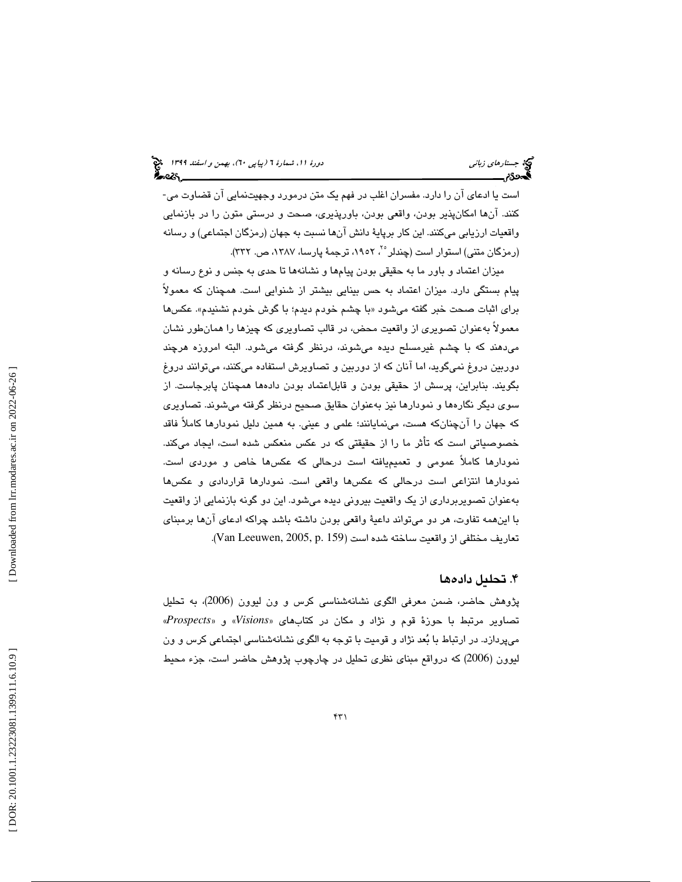است يا ادعاي آن را دارد. مفسران اغلب در فهم يك متن درمورد وجهيتنمايي آن قضاوت مي- كنند. آنها امكانپذير بودن، واقعي بودن، باورپذيري، صحت و درستي متون را در بازنمايي واقعيات ارزيابي ميكنند. اين كار برپاية دانش آنها نسبت به جهان (رمزگان اجتماعي) و رسانه (رمزگان متني) استوار است (چندلر°٬ ۱۹۵۲، ترجمهٔ پارسا، ۱۳۸۷، ص. ۳۳۲).

ميزان اعتماد و باور ما به حقيقي بودن پيامها و نشانهها تا حدي به جنس و نوع رسانه و پيام بستگي دارد. ميزان اعتماد به حس بينايي بيشتر از شنوايي است. همچنان كه معمولاً براي اثبات صحت خبر گفته ميشود «با چشم خودم ديدم؛ با گوش خودم نشنيدم». عكسها معمولاً بهعنوان تصويري از واقعيت محض، در قالب تصاويري كه چيزها را همانطور نشان ميدهند كه با چشم غيرمسلح ديده ميشوند، درنظر گرفته ميشود. البته امروزه هرچند دوربين دروغ نميگويد، اما آنان كه از دوربين و تصاويرش استفاده ميكنند، ميتوانند دروغ بگويند. بنابراين، پرسش از حقيقي بودن و قابلاعتماد بودن دادهها همچنان پابرجاست. از سوي ديگر نگارهها و نمودارها نيز بهعنوان حقايق صحيح درنظر گرفته ميشوند. تصاويري كه جهان را آنچنانكه هست، مينمايانند؛ علمي و عيني. به همين دليل نمودارها كاملاً فاقد خصوصياتي است كه تأثر ما را از حقيقتي كه در عكس منعكس شده است، ايجاد ميكند. نمودارها كاملاً عمومي و تعميميافته است درحالي كه عكسها خاص و موردي است. نمودارها انتزاعي است درحالي كه عكسها واقعي است. نمودارها قراردادي و عكسها بهعنوان تصويربرداري از يك واقعيت بيروني ديده ميشود. اين دو گونه بازنمايي از واقعيت با اينهمه تفاوت، هر دو ميتواند داعية واقعي بودن داشته باشد چراكه ادعاي آنها برمبناي تعاريف مختلفي از واقعيت ساخته شده است (159 .Van Leeuwen, 2005, p.

## . تحليل داده ها 4

پژوهش حاضر، ضمن معرفي الگوي نشانهشناسي كرس و ون ليوون (2006)، به تحليل «*Prospects* و» «*Visions* تصاوير مرتبط با حوزة قوم و نژاد و مكان در كتابهاي « ميپردازد. در ارتباط با بعد نژاد و قوميت با توجه به الگوي نشانهشناسي اجتماعي كرس و ون ليوون (2006) كه درواقع مبناي نظري تحليل در چارچوب پژوهش حاضر است، جزء محيط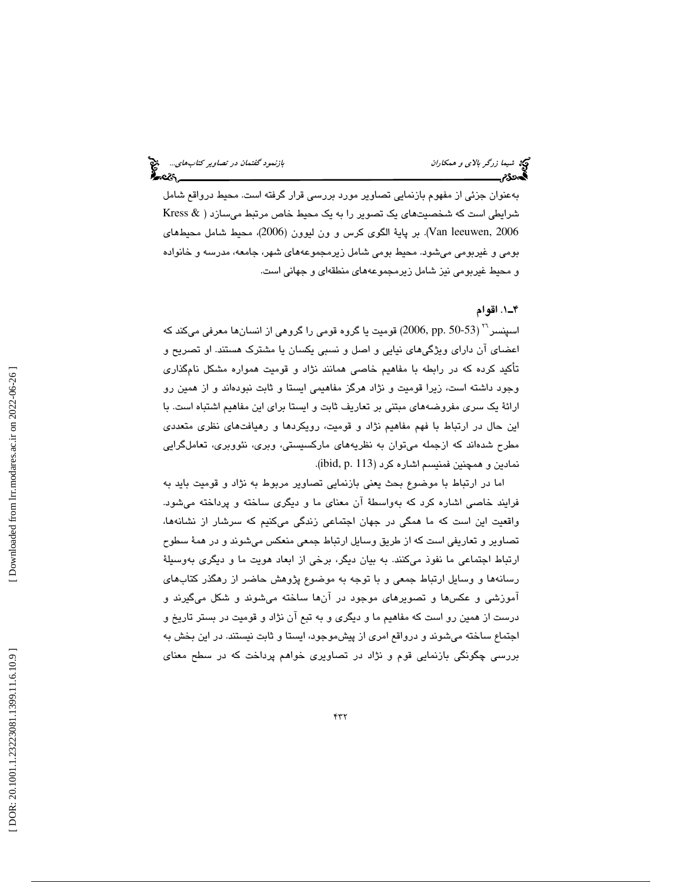بهعنوان جزئي از مفهوم بازنمايي تصاوير مورد بررسي قرار گرفته است. محيط درواقع شامل شرايطي است كه شخصيتهاي يك تصوير را به يك محيط خاص مرتبط ميسازد ( & Kress 2006 ,leeuwen Van(. بر پاية الگوي كرس و ون ليوون (2006)، محيط شامل محيطهاي بومي و غيربومي ميشود. محيط بومي شامل زيرمجموعههاي شهر، جامعه، مدرسه و خانواده و محيط غيربومي نيز شامل زيرمجموعههاي منطقهاي و جهاني است .

#### 1ـ4 . اقوام

اسپنسر <sup>۲۲</sup> ( 50-53 .pp 2006) قوميت يا گروه قومي را گروهي از انسانها معرفي ميكند كه اعضاي آن داراي ويژگيهاي نيايي و اصل و نسبي يكسان يا مشترك هستند. او تصريح و تأكيد كرده كه در رابطه با مفاهيم خاصي همانند نژاد و قوميت همواره مشكل نامگذاري وجود داشته است، زيرا قوميت و نژاد هرگز مفاهيمي ايستا و ثابت نبودهاند و از همين رو ارائة يك سري مفروضههاي مبتني بر تعاريف ثابت و ايستا براي اين مفاهيم اشتباه است. با اين حال در ارتباط با فهم مفاهيم نژاد و قوميت، رويكردها و رهيافتهاي نظري متعددي مطرح شدهاند كه ازجمله ميتوان به نظريههاي ماركسيستي، وبري، نئووبري، تعاملگرايي نمادين و همچنين فمنيسم اشاره كرد (113 .p ,ibid( .

اما در ارتباط با موضوع بحث يعني بازنمايي تصاوير مربوط به نژاد و قوميت بايد به فرايند خاصي اشاره كرد كه بهواسطة آن معناي ما و ديگري ساخته و پرداخته ميشود. واقعيت اين است كه ما همگي در جهان اجتماعي زندگي ميكنيم كه سرشار از نشانهها، تصاوير و تعاريفي است كه از طريق وسايل ارتباط جمعي منعكس ميشوند و در همة سطوح ارتباط اجتماعي ما نفوذ ميكنند. به بيان ديگر، برخي از ابعاد هويت ما و ديگري بهوسيلة رسانهها و وسايل ارتباط جمعي و با توجه به موضوع پژوهش حاضر از رهگذر كتابهاي آموزشي و عكسها و تصويرهاي موجود در آنها ساخته ميشوند و شكل ميگيرند و درست از همين رو است كه مفاهيم ما و ديگري و به تبع آن نژاد و قوميت در بستر تاريخ و اجتماع ساخته ميشوند و درواقع امري از پيشموجود، ايستا و ثابت نيستند. در اين بخش به بررسي چگونگي بازنمايي قوم و نژاد در تصاويري خواهم پرداخت كه در سطح معناي

 [\[ DOR: 20.1001.1.23223081.1399.11.6.10](https://dorl.net/dor/20.1001.1.23223081.1399.11.6.10.9).9 ] [\[ Downloaded from lrr.modares.ac.ir on 20](https://lrr.modares.ac.ir/article-14-29439-fa.html)22-06-26 ] Downloaded from lrr.modares.ac.ir on 2022-06-26]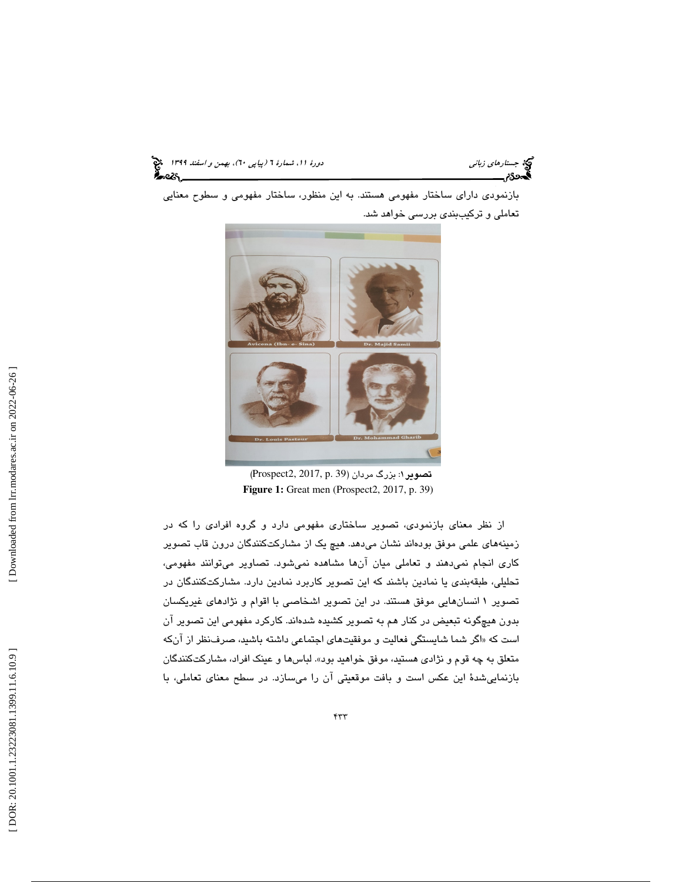جستارهاي زباني (به اسفند 1399 )، بهمن و اسفند 1399 (بيا بهمن و اسفند 1394 )

بازنمودي داراي ساختار مفهومي هستند. به اين منظور ، ساختار مفهومي و سطوح معنايي تعاملي و تركيببندي بررسي خواهد شد.



تصوير 1: بزرگ مردان (39 .p 2017, 2,Prospect(  **Figure 1:** Great men (Prospect2, 2017, p. 39)

از نظر معناي بازنمودي، تصوير ساختاري مفهومي دارد و گروه افرادي را كه در زمينههاي علمي موفق بودهاند نشان مي هد. هيچ يک از مشاركتكنندگان درون قاب تصوير كاري انجام نمي دهند و تعاملي ميان آنها مشاهده نمي شود. تصاوير ميتوانند مفهومي، تحليلي، طبقهبندي يا نمادين باشند كه اين تصوير كاربرد نمادين دارد. مشاركتكنندگان در تصوير 1 انسانهاي ي موفق هستند . در اين تصوير اشخاصي با اقوام و نژادهاي غيريكسان بدون هيچگونه تبعيض در كنار هم به تصوير كشيده شدهاند. كاركرد مفهومي اين تصوير آن است كه «اگر شما شايستگي فعاليت و موفقيتهاي اجتماعي داشته باشيد، صرف نظر از آنكه متعلق به چه قوم و نژادی هستید، موفق خواهید بود». لباسها و عینک افراد، مشارکتکنندگان بازنمايي ةشد اين عكس است و بافت موقعيتي آن را ميسازد. در سطح معناي تعاملي، با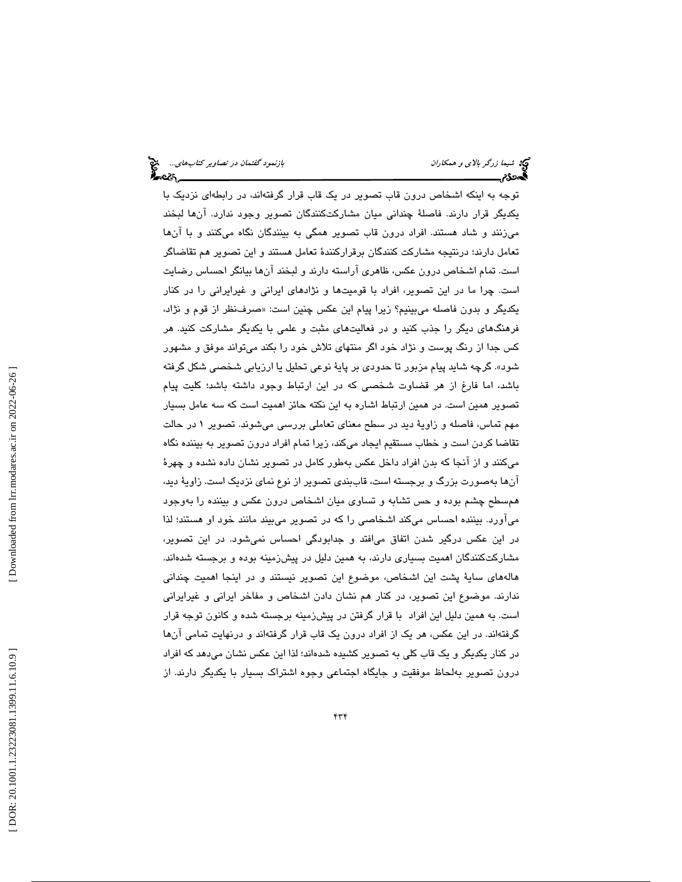توجه به اينكه اشخاص درون قاب تصوير در يك قاب قرار گرفتهاند، در رابطهاي نزديك با يكديگر قرار دارند. فاصلة چنداني ميان مشاركتكنندگان تصوير وجود ندارد. آنها لبخند ميزنند و شاد هستند. افراد درون قاب تصوير همگي به بينندگان نگاه ميكنند و با آنها تعامل دارند؛ درنتيجه مشاركت كنندگان برقراركنندهٔ تعامل هستند و اين تصوير هم تقاضاگر است. تمام اشخاص درون عكس ، ظاهري آراسته دارند و لبخند آنها بيانگر احساس رضايت است. چرا ما در اين تصوير، افراد با قوميتها و نژادهاي ايراني و غيرايراني را در كنار يكديگر و بدون فاصله ميبينيم؟ زيرا پيام اين عكس چنين است: « صرفنظر از قوم و نژاد، فرهنگهاي ديگر را جذب كنيد و در فعاليتهاي مثبت و علمي با يكديگر مشاركت كنيد . هر كس جدا از رنگ پوست و نژاد خود اگر منتهاي تلاش خود را بكند ميتواند موفق و مشهور شود». گرچه شايد پيام مزبور تا حدودي بر پاية نوعي تحليل يا ارزيابي شخصي شكل گرفته باشد، اما فارغ از هر قضاوت شخصي كه در اين ارتباط وجود داشته باشد؛ كليت پيام تصوير همين است. در همين ارتباط اشاره به اين نكته حائز اهميت است كه سه عامل بسيار مهم تماس، فاصله و زاويهٔ ديد در سطح معناي تعاملي بررسي ميشوند. تصوير ١ در حالت تقاضا كردن است و خطاب مستقيم ايجاد ميكند، زيرا تمام افراد درون تصوير به بيننده نگاه ميكنند و از آنجا كه بدن افراد داخل عكس به طور كامل در تصوير نشان داده نشده و چهرة آنها بهصورت بزرگ و برجسته است، قاببندی تصویر از نوع نمای نزدیک است. زاویهٔ دید، همسطح چشم بوده و حس تشابه و تساوي ميان اشخاص درون عكس و بيننده را بهوجود ميآور د. بيننده احساس ميكند اشخاصي را كه در تصوير ميبيند مانند خود او هستند؛ لذا در اين عكس درگير شدن اتفاق ميافتد و جدابودگي احساس نميشود. در اين تصوير، مشاركتكنندگان اهميت بسياري دارند، به همين دليل در پيشزمينه بوده و برجسته شدهاند. هالههاي ساية پشت اين اشخاص، موضوع اين تصوير نيستن د و در اينجا اهميت چنداني ندارند. موضوع اين تصوير، در كنار هم نشان دادن اشخاص و مفاخر ايراني و غيرايراني است. به همين دليل اين افراد با قرار گرفتن در پيشزمينه برجسته شده و كانون توجه قرار گرفتهاند. در اين عكس، هر يک از افراد درون يک قاب قرار گرفتهاند و درنهايت تمامي انها در كنار يكديگر و يک قاب كلی به تصوير كشيده شدهاند؛ لذا اين عكس نشان میدهد كه افراد درون تصوير به لحاظ موفقيت و جايگاه اجتماعي وجوه اشتراك بسيار با يكديگر دارند. از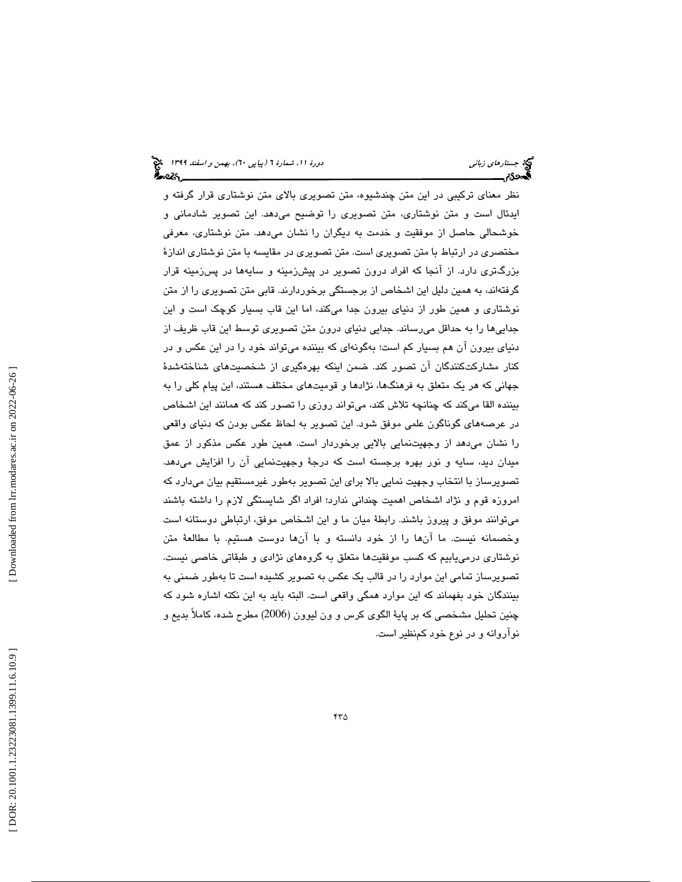نظر معناي تركيبي در اين متن چندشيوه، متن تصويري بالاي متن نوشتاري قرار گرفته و ايدئال است و متن نوشتاري، متن تصويري را توضيح ميدهد. اين تصوير شادماني و شتاري، معرفي خوشحالي حاصل از موفقيت و خدمت به ديگران را نشان ميدهد. متن نو مختصري در ارتباط با متن تصويري است. متن تصويري در مقايسه با متن نوشتاري اندازة بزرگتري دارد. از آنجا كه افراد درون تصوير در پيشزمينه و سايهها در پسزمينه قرار گرفتهاند، به همین دلیل این اشخاص از برجستگی برخوردارند. قابی متن تصویری را از متن نوشتاري و همين طور از دنياي بيرون جدا ميكند، اما اين قاب بسيار كوچك است و اين جداييها را به حداقل ميرساند. جدايي دنياي درون متن تصويري توسط اين قاب ظريف از دنياي بيرون آن هم بسيار كم است؛ بهگونهاي كه بيننده ميتواند خود را در اين عكس و در كنار مشاركتكنندگان آن تصور كند. ضمن اينكه بهرهگيري از شخصيتهاي شناختهشدة جهاني كه هر يك متعلق به فرهنگها، نژادها و قوميتهاي مختلف هستند، اين پيام كلي را به بيننده القا ميكند كه چنانچه تلاش كند، ميتواند روزي را تصور كند كه همانند اين اشخاص در عرص ههاي گوناگون علمي موفق شود. اين تصوير به لحاظ عكس بودن كه دنياي واقعي را نشان ميدهد از وجهيتنمايي بالايي برخوردار است. ه مين طور عكس مذكور از عمق ميدان ديد، سايه و نور بهره برجسته است كه درجهٔ وجهيتنمايي آن را افزايش ميدهد. تصويرساز با انتخاب وجهيت نمايي بالا براي اين تصوير بهطور غيرمستقيم بيان ميدارد كه امروزه قوم و نژاد اشخاص اهميت چنداني ندارد؛ افراد اگر شايستگي لازم را داشته باشند ميتوانند موفق و پيروز باشند. رابطهٔ ميان ما و اين اشخاص موفق، ارتباطي دوستانه است وخصمانه نيست. ما آنها را از خود دانسته و با آنها دوست هستيم. با مطالعهٔ متن نوشتاري درمي $\mathfrak{u}_\mathbf{u}$  كسب موفقيتها متعلق به گروههاي نژادي و طبقاتي خاصي نيست. تصويرساز تمامي اين موارد را در قالب يك عكس به تصوير كشيده است تا بهطور ضمني به بينندگان خود بفهماند كه اين موارد همگي واقعي است. البته بايد به اين نكته اشاره شود كه چنين تحليل مشخصي كه بر پاية الگوي كرس و ون ليوون (2006) مطرح شده، كاملاً بديع و نوآروانه و در نوع خود كمنظير است.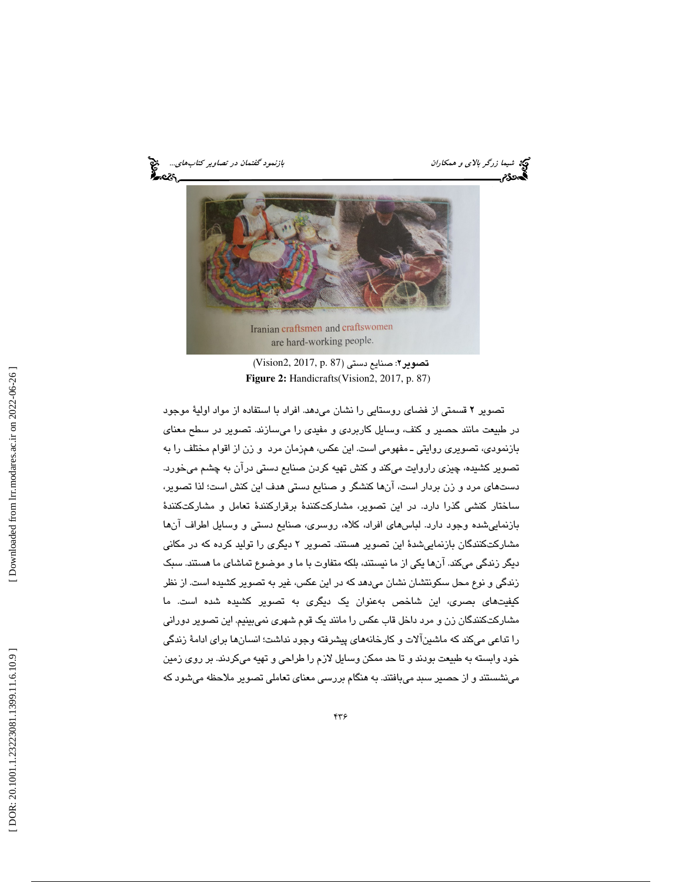شيما زرگر *بالاي و همكاران باشيمان بازنمود گفتمان در تصاوير كتابهاي...*. هيچ<br>**گيردد: بازنمود بازنمود بازنمود گفت به بازنمود گفتمان بازنمود گفتمان در تصاویر كتابهاي... هيچ** 



تصوير 2: صنايع دستي (87 .p 2017, 2,Vision(  **Figure 2:** Handicrafts(Vision2, 2017, p. 87)

تصوير 2 قسمتي از فضاي روستايي را نشان ميدهد. افراد با استفاده از مواد اولية موجود در طبيعت مانند حصير و كنف ، وسايل كاربردي و مفيدي را ميسازند . تصوير در سطح معناي بازنمودي، تصويري روايتي ـ مفهومي است . اين عكس، همزمان مرد و زن از اقوام مختلف را به تصوير كشيده، چيزي راروايت ميكند و كنش تهيه كردن صنايع دستي درآن به چشم ميخورد. دستهاي مرد و زن بردار است، آنها كنشگر و صنايع دستي هدف اين كنش است؛ لذا تصوير، ساختار كنشي گذرا دارد. در اين تصوير، مشاركتكنندهٔ برقراركنندهٔ تعامل و مشاركتكنندهٔ بازنماييشده وجود دارد. لباسهاي افراد ، كلاه، روسري، صنايع دستي و وسايل اطراف آنها مشاركتكنندگان بازنمايي شدهٔ اين تصوير هستند. تصوير ۲ ديگري را توليد كرده كه در مكاني ديگر زندگي ميكند. آنها يكي از ما نيستند، بلكه متفاوت با ما و موضوع تماشاي ما هستند. سبک زندگي و نوع محل سكونتشان نشان ميدهد كه در اين عكس ، غير به تصوير كشيده است. از نظر كيفيتهاي بصري، اين شاخص به عنوان يك ديگري به تصوير كشيده شده است. ما مشاركتكنندگان زن و مرد داخل قاب عكس را مانند يك قوم شهري نميبينيم. اين تصوير دوراني را تداعي ميكند كه ماشينآلات و كارخانههاي پيشرفته وجود نداشت؛ انسانها براي ادام ة زندگي خود وابسته به طبيعت بودند و تا حد ممكن وسايل لازم را طراحي و تهيه ميكردند. بر روي زمين مينشستند و از حصير سبد ميبافتند. به هنگام بررسي معناي تعاملي تصوير ملاحظه ميشود كه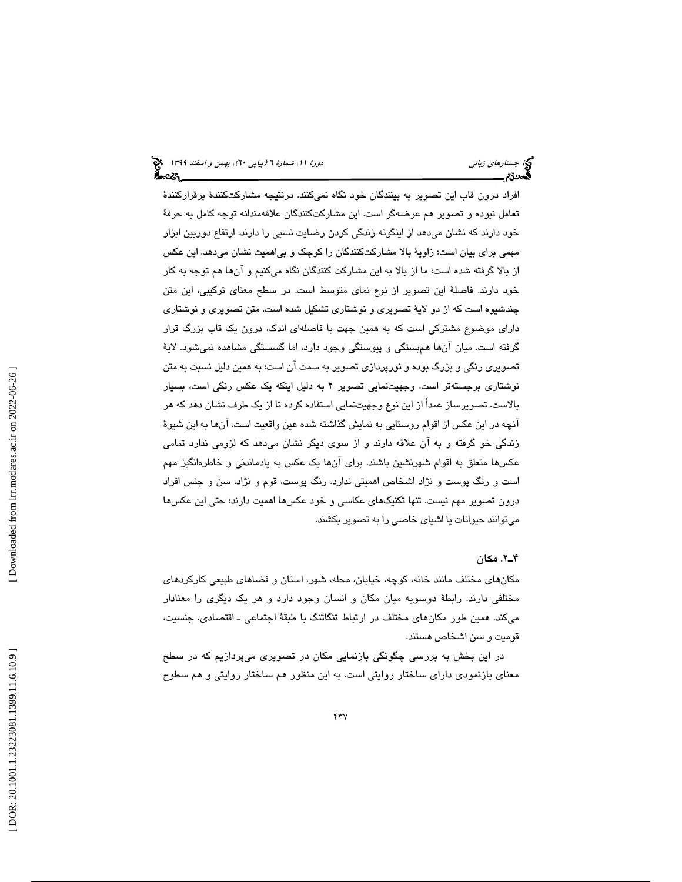افراد درون قاب اين تصوير به بينندگان خود نگاه نميكنند. درنتيجه مشاركتكنندهٔ برقراركنندهٔ تعامل نبوده و تصوير هم عرضهگر است. اين مشاركتكنندگان علاقهمندانه توجه كامل به حرفة خود دارند كه نشان ميدهد از اينگونه زندگي كردن رضايت نسبي را دارند. ارتفاع دوربين ابزار مهمي براي بيان است؛ زاويهٔ بالا مشاركتكنندگان را كوچک و بي|هميت نشان مي،دهد. اين عكس از بالا گرفته شده است؛ ما از بالا به اين مشاركت كنندگان نگاه ميكنيم و آنها هم توجه به كار خود دارند. فاصلهٔ اين تصوير از نوع نماي متوسط است. در سطح معناي تركيبي، اين متن چندشيوه است كه از دو لايهٔ تصويري و نوشتاري تشكيل شده است. متن تصويري و نوشتاري داراي موضوع مشتركي است كه به همين جهت با فاصلهاي اندك، درون يك قاب بزرگ قرار گرفته است. ميان آنها همبستگي و پيوستگي وجود دارد، اما گسستگي مشاهده نميشود. لاية تصويري رنگي و بزرگ بوده و نورپردازي تصوير به سمت آن است؛ به همين دليل نسبت به متن نوشتاري برجستهتر است. وجهيتنمايي تصوير 2 به دليل اينكه يك عكس رنگي است، بسيار بالاست. تصويرساز عمداً از اين نوع وجهيتنمايي استفاده كرده تا از يك طرف نشان دهد كه هر آنچه در اين عكس از اقوام روستايي به نمايش گذاشته شده عين واقعيت است. آنها به اين شيوة زندگي خو گرفته و به آن علاقه دارند و از سوي ديگر نشان ميدهد كه لزومي ندارد تمامي عكسها متعلق به اقوام شهرنشين باشند. براي آنها يك عكس به يادماندني و خاطرهانگيز مهم است و رنگ پوست و نژاد اشخاص اهميتي ندارد. رنگ پوست، قوم و نژاد، سن و جنس افراد درون تصوير مهم نيست. تنها تكنيكهاي عكاسي و خود عكسها اهميت دارند؛ حتي اين عكسها ميتوانند حيوانات يا اشياي خاصي را به تصوير بكشند.

#### 2ـ4 . مكان

مكانهاي مختلف مانند خانه، كوچه، خيابان، محله، شهر، استان و فضاهاي طبيعي كاركردهاي مختلفي دارند. رابطة دوسويه ميان مكان و انسان وجود دارد و هر يك ديگري را معنادار ميكند. همين طور مكانهاي مختلف در ارتباط تنگاتنگ با طبقة اجتماعي ـ اقتصادي، جنسيت، قوميت و سن اشخاص هستند.

در اين بخش به بررسي چگونگي بازنمايي مكان در تصويري ميپردازيم كه در سطح معناي بازنمودي داراي ساختار روايتي است. به اين منظور هم ساختار روايتي و هم سطوح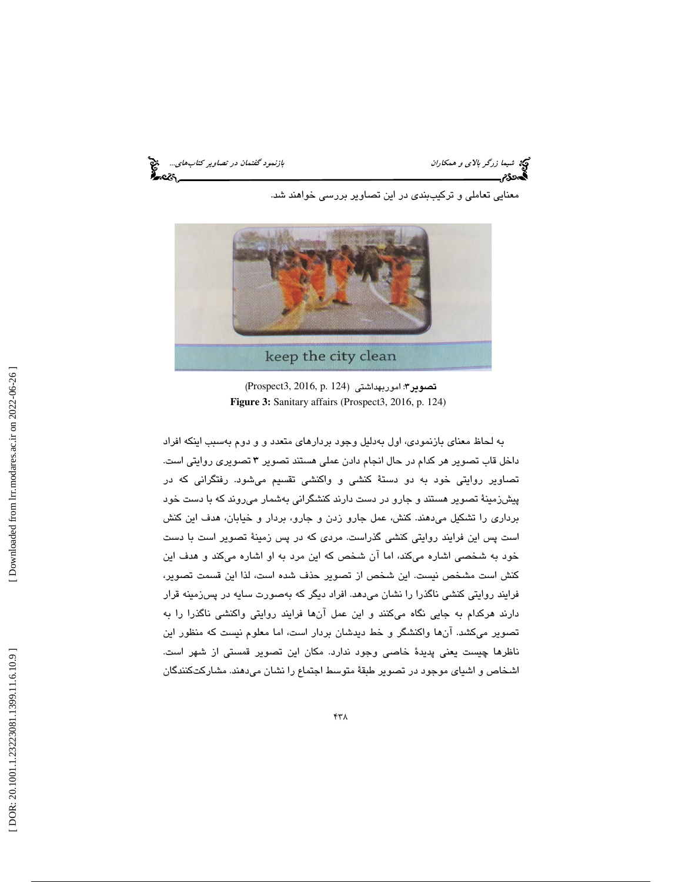شيما زرگر بالاي و همكاران بازنمود گفتمان در تصاوير كتابهاي... هيچ<br>**الیددن بازنمود بازنمود بازنمود بازنمود بازنمود گفتمان در تصاوير كتابهاي بازنمود** گفتمان در تصاوير كتابهاي... هي<br>**الیددن بازنمود بازنمود بازنمود بازنمود با** 

معنايي تعاملي و تركيببندي در اين تصاوير بررسي خواهند شد.



(Prospect3, 2016, p. 124 تصوير 3: اموربهداشتي (  **Figure 3:** Sanitary affairs (Prospect3, 2016, p. 124)

به لحاظ معناي بازنمودي، اول بهدليل وجود بردارهاي متعدد و و دوم بهسبب اينكه افراد داخل قاب تصوير هر كدام در حال انجام دادن عملي هستند تصوير 3 تصويري روايتي است. تصاوير روايتي خود به دو دستة كنشي و واكنشي تقسيم ميشود. رفتگراني كه در پيشزمينة تصوير هستند و جارو در دست دارند كنشگراني بهشمار ميروند كه با دست خود برداري را تشكيل ميدهند. كنش، عمل جارو زدن و جارو، بردار و خيابان، هدف اين كنش است پس اين فرايند روايتي كنشي گذراست. مردي كه در پس زمينة تصوير است با دست خود به شخصي اشاره ميكند، اما آن شخص كه اين مرد به او اشاره ميكند و هدف اين كنش است مشخص نيست. اين شخص از تصوير حذف شده است، لذا اين قسمت تصوير، فرايند روايتي كنشي ناگذرا را نشان ميدهد. افراد ديگر كه بهصورت سايه در پسزمينه قرار دارند هركدام به جايي نگاه ميكنند و اين عمل آنها فرايند روايتي واكنشي ناگذرا را به تصوير ميكشد. آنها واكنشگر و خط ديدشان بردار است، اما معلوم نيست كه منظور اين ناظرها چيست يعني پديدة خاصي وجود ندارد. مكان اين تصوير قمستي از شهر است. اشخاص و اشياي موجود در تصوير طبقة متوسط اجتماع را نشان ميدهند. مشاركتكنندگان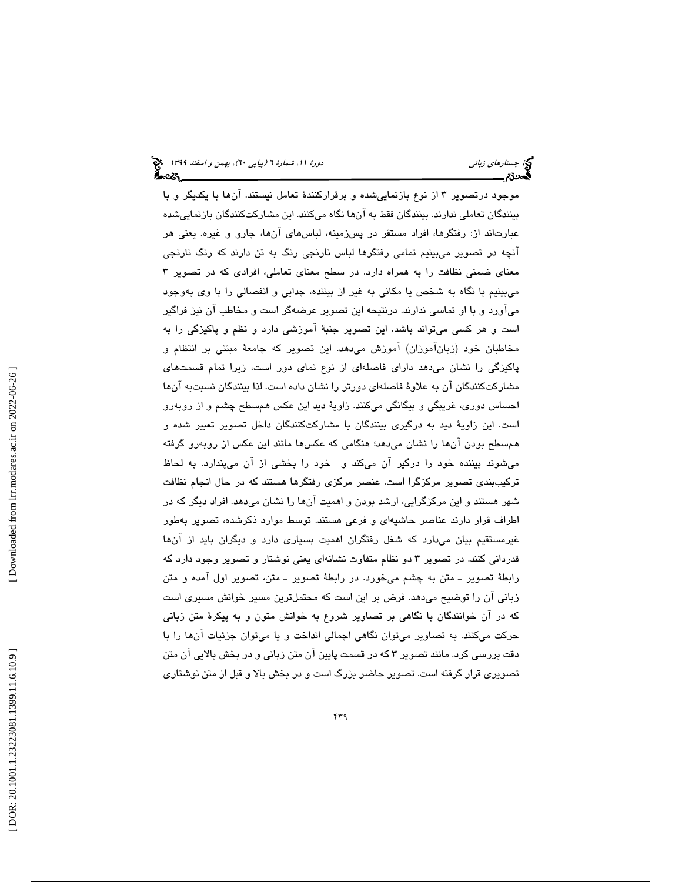موجود درتصوير 3 از نوع بازنماييشده و برقراركنندة تعامل نيستند. آنها با يكديگر و با بينندگان تعاملي ندارند. بينندگان فقط به آنها نگاه ميكنند. اين مشاركتكنندگان بازنماييشده عبارتاند از: رفتگرها، افراد مستقر در پسزمينه، لباسهاي آنها، جارو و غيره. يعني هر آنچه در تصوير ميبينيم تمامي رفتگرها لباس نارنجي رنگ به تن دارند كه رنگ نارنجي معناي ضمني نظافت را به همراه دارد. در سطح معناي تعاملي، افرادي كه در تصوير 3 ميبينيم با نگاه به شخص يا مكاني به غير از بيننده، جدايي و انفصالي را با وي بهوجود ميآورد و با او تماسي ندارند. درنتيحه اين تصوير عرضهگر است و مخاطب آن نيز فراگير است و هر كسي ميتواند باشد. اين تصوير جنبة آموزشي دارد و نظم و پاكيزگي را به مخاطبان خود (زبانآموزان) آموزش ميدهد. اين تصوير كه جامعة مبتني بر انتظام و پاكيزگي را نشان ميدهد داراي فاصلهاي از نوع نماي دور است، زيرا تمام قسمتهاي مشاركتكنندگان آن به علاوة فاصلهاي دورتر را نشان داده است. لذا بينندگان نسبتبه آنها احساس دوري، غريبگي و بيگانگي ميكنند. زاوية ديد اين عكس همسطح چشم و از روبهرو است. اين زاوية ديد به درگيري بينندگان با مشاركتكنندگان داخل تصوير تعبير شده و همسطح بودن آنها را نشان ميدهد؛ هنگامي كه عكسها مانند اين عكس از روبهرو گرفته ميشوند بيننده خود را درگير آن ميكند و خود را بخشي از آن ميپندارد. به لحاظ تركيببندي تصوير مركزگرا است. عنصر مركزي رفتگرها هستند كه در حال انجام نظافت شهر هستند و اين مركزگرايي، ارشد بودن و اهميت آنها را نشان ميدهد. افراد ديگر كه در اطراف قرار دارند عناصر حاشيهاي و فرعي هستند. توسط موارد ذكرشده، تصوير بهطور غيرمستقيم بيان ميدارد كه شغل رفتگران اهميت بسياري دارد و ديگران بايد از آنها قدرداني كنند. در تصوير 3 دو نظام متفاوت نشانهاي يعني نوشتار و تصوير وجود دارد كه رابطة تصوير ـ متن به چشم ميخورد. در رابطة تصوير ـ متن، تصوير اول آمده و متن زباني آن را توضيح ميدهد. فرض بر اين است كه محتملترين مسير خوانش مسيري است كه در آن خوانندگان با نگاهي بر تصاوير شروع به خوانش متون و به پيكرة متن زباني حركت ميكنند. به تصاوير ميتوان نگاهي اجمالي انداخت و يا ميتوان جزئيات آنها را با دقت بررسي كرد. مانند تصوير 3 كه در قسمت پايين آن متن زباني و در بخش بالايي آن متن تصويري قرار گرفته است. تصوير حاضر بزرگ است و در بخش بالا و قبل از متن نوشتاري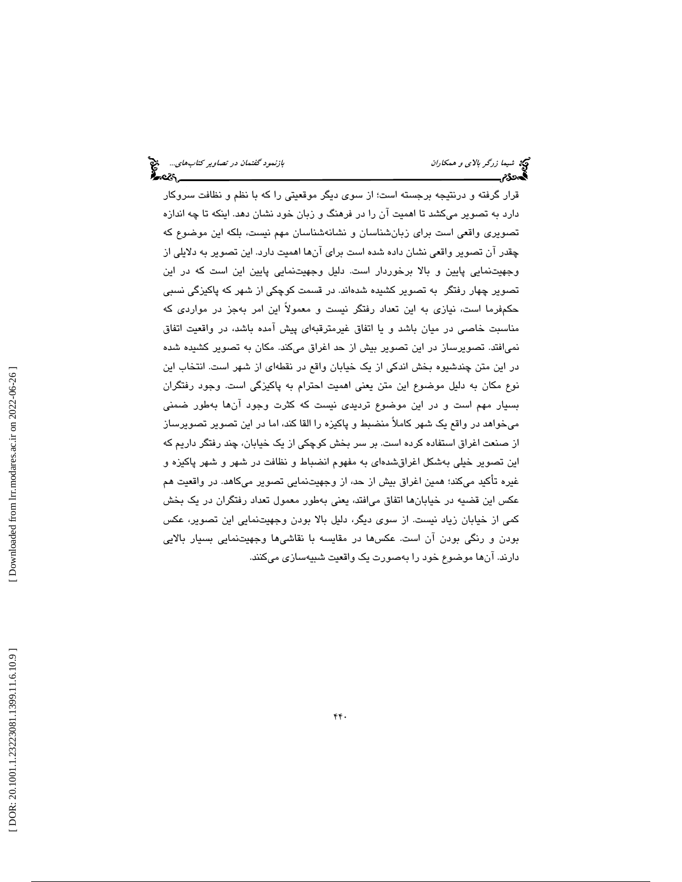قرار گرفته و درنتيجه برجسته است؛ از سوي ديگر موقعيتي را كه با نظم و نظافت سروكار دارد به تصوير ميكشد تا اهميت آن را در فرهنگ و زبان خود نشان دهد. اينكه تا چه اندازه تصويري واقعي است براي زبانشناسان و نشانهشناسان مهم نيست، بلكه اين موضوع كه چقدر آن تصوير واقعي نشان داده شده است براي آنها اهميت دارد. اين تصوير به دلايلي از وجهيتنمايي پايين و بالا برخوردار است. دليل وجهيتنمايي پايين اين است كه در اين تصوير چهار رفتگر به تصوير كشيده شدهاند. در قسمت كوچكي از شهر كه پاكيزگي نسبي حكمفرما است، نيازي به اين تعداد رفتگر نيست و معمولاً اين امر بهجز در مواردي كه مناسبت خاصي در ميان باشد و يا اتفاق غيرمترقبهاي پيش آمده باشد، در واقعيت اتفاق نميافتد. تصويرساز در اين تصوير بيش از حد اغراق ميكند. مكان به تصوير كشيده شده در اين متن چندشيوه بخش اندكي از يك خيابان واقع در نقطهاي از شهر است. انتخاب اين نوع مكان به دليل موضوع اين متن يعني اهميت احترام به پاكيزگي است. وجود رفتگران بسيار مهم است و در اين موضوع ترديدي نيست كه كثرت وجود آنها بهطور ضمني ميخواهد در واقع يك شهر كاملاً منضبط و پاكيزه را القا كند، اما در اين تصوير تصويرساز از صنعت اغراق استفاده كرده است. بر سر بخش كوچكي از يك خيابان، چند رفتگر داريم كه اين تصوير خيلي بهشكل اغراق شدهاي به مفهوم انضباط و نظافت در شهر و شهر پاكيزه و غيره تأكيد ميكند؛ همين اغراق بيش از حد، از وجهيتنمايي تصوير ميكاهد. در واقعيت هم عكس اين قضيه در خيابانها اتفاق ميافتد، يعني بهطور معمول تعداد رفتگران در يك بخش كمي از خيابان زياد نيست. از سوي ديگر، دليل بالا بودن وجهيتنمايي اين تصوير، عكس بودن و رنگي بودن آن است. عكسها در مقايسه با نقاشيها وجهيتنمايي بسيار بالايي دارند. آنها موضوع خود را بهصورت يك واقعيت شبيهسازي ميكنند.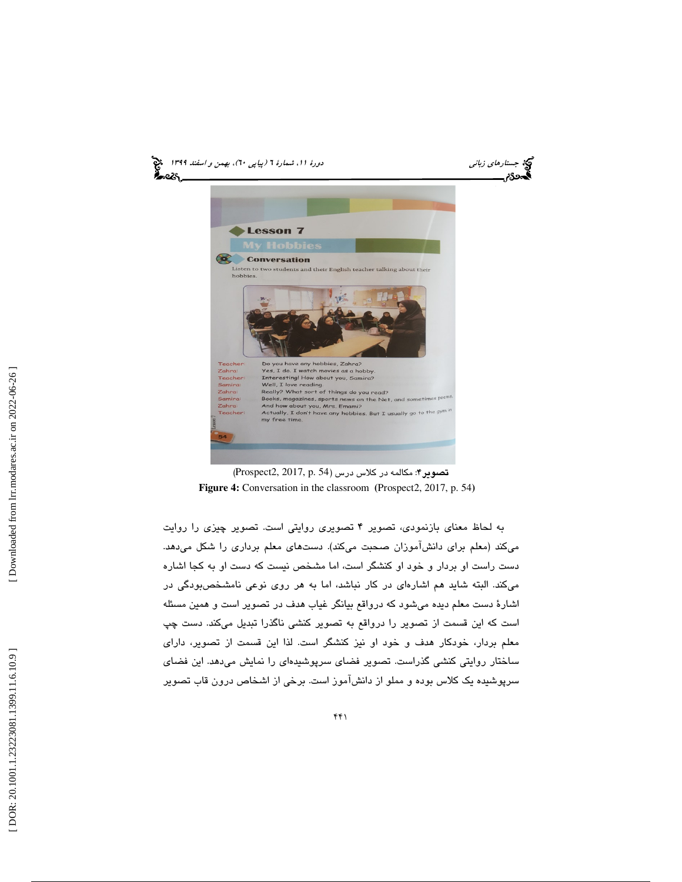

(Prospect2, 2017, p. 54 تصوير 4: مكالمه در كلاس درس (  **Figure 4:** Conversation in the classroom **(**Prospect2, 2017, p. 54**)** 

به لحاظ معناي بازنمودي، تصوير 4 تصويري روايتي است. تصوير چيزي را روايت ميكند (معلم براي دانشآموزان صحبت ميكند). دستهاي معلم برداري را شكل ميدهد. دست راست او بردار و خود او كنشگر است، اما مشخص نيست كه دست او به كجا اشاره ميكند. البته شايد هم اشارهاي در كار نباشد، اما به هر روي نوعي نامشخصبودگي در اشارة دست معلم ديده ميشود كه درواقع بيانگر غياب هدف در تصوير است و همين مسئله است كه اين قسمت از تصوير را درواقع به تصوير كنشي ناگذرا تبديل ميكند. دست چپ معلم بردار، خودكار هدف و خود او نيز كنشگر است. لذا اين قسمت از تصوير، داراي ساختار روايتي كنشي گذراست. تصوير فضاي سرپوشيدهاي را نمايش ميدهد. اين فضاي سرپوشيده يك كلاس بوده و مملو از دانشآموز است. برخي از اشخاص درون قاب تصوير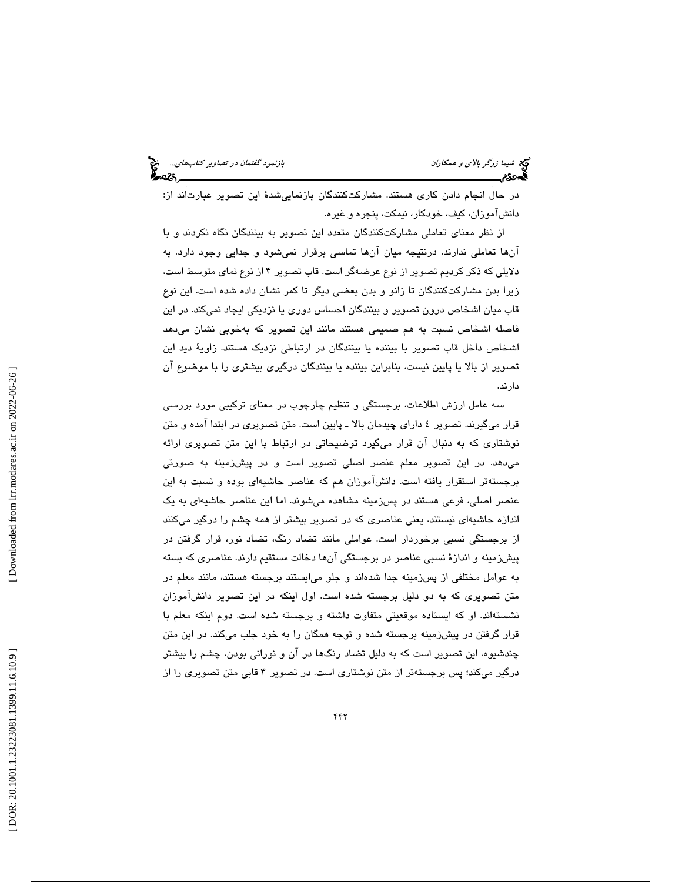در حال انجام دادن كاري هستند. مشاركتكنندگان بازنماييشدة اين تصوير عبارتاند از: دانشآموزان، كيف، خودكار، نيمكت، پنجره و غيره.

از نظر معناي تعاملي مشاركتكنندگان متعدد اين تصوير به بينندگان نگاه نكردند و با آنها تعاملي ندارند. درنتيجه ميان آنها تماسي برقرار نميشود و جدايي وجود دارد. به دلايلي كه ذكر كرديم تصوير از نوع عرضهگر است. قاب تصوير 4 از نوع نماي متوسط است، زيرا بدن مشاركتكنندگان تا زانو و بدن بعضي ديگر تا كمر نشان داده شده است. اين نوع قاب ميان اشخاص درون تصوير و بينندگان احساس دوري يا نزديكي ايجاد نميكند. در اين فاصله اشخاص نسبت به هم صميمي هستند مانند اين تصوير كه بهخوبي نشان ميدهد اشخاص داخل قاب تصوير با بيننده يا بينندگان در ارتباطي نزديك هستند. زاوية ديد اين تصوير از بالا يا پايين نيست، بنابراين بيننده يا بينندگان درگيري بيشتري را با موضوع آن دارند.

سه عامل ارزش اطلاعات، برجستگي و تنظيم چارچوب در معناي تركيبي مورد بررسي قرار ميگيرند. تصوير 4 داراي چيدمان بالا ـ پايين است. متن تصويري در ابتدا آمده و متن نوشتاري كه به دنبال آن قرار ميگيرد توضيحاتي در ارتباط با اين متن تصويري ارائه ميدهد. در اين تصوير معلم عنصر اصلي تصوير است و در پيشزمينه به صورتي برجستهتر استقرار يافته است. دانشآموزان هم كه عناصر حاشيهاي بوده و نسبت به اين عنصر اصلي، فرعي هستند در پسزمينه مشاهده ميشوند. اما اين عناصر حاشيهاي به يك اندازه حاشيهاي نيستند، يعني عناصري كه در تصوير بيشتر از همه چشم را درگير ميكنند از برجستگي نسبي برخوردار است. عواملي مانند تضاد رنگ، تضاد نور، قرار گرفتن در پيشزمينه و اندازة نسبي عناصر در برجستگي آنها دخالت مستقيم دارند. عناصري كه بسته به عوامل مختلفي از پسزمينه جدا شدهاند و جلو ميايستند برجسته هستند، مانند معلم در متن تصويري كه به دو دليل برجسته شده است. اول اينكه در اين تصوير دانشآموزان نشستهاند. او كه ايستاده موقعيتي متفاوت داشته و برجسته شده است. دوم اينكه معلم با قرار گرفتن در پيشزمينه برجسته شده و توجه همگان را به خود جلب ميكند. در اين متن چندشيوه، اين تصوير است كه به دليل تضاد رنگها در آن و نوراني بودن، چشم را بيشتر درگير ميكند؛ پس برجستهتر از متن نوشتاري است. در تصوير 4 قابي متن تصويري را از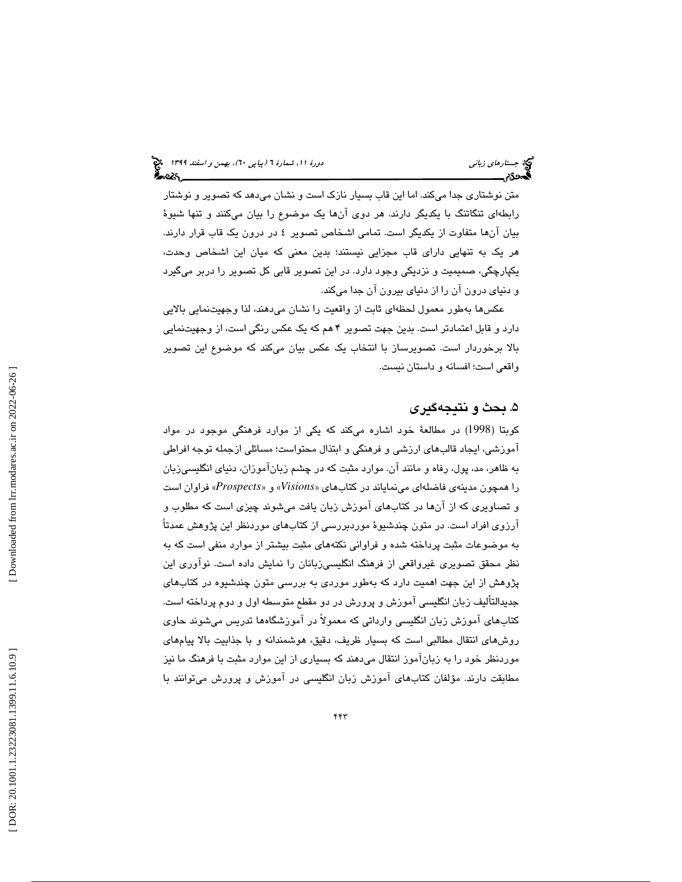متن نوشتاري جدا ميكند. اما اين قاب بسيار نازك است و نشان ميدهد كه تصوير و نوشتار رابطهاي تنگاتنگ با يكديگر دارند. هر دوي آنها يك موضوع را بيان ميكنند و تنها شيوة بيان آنها متفاوت از يكديگر است. تمامي اشخاص تصوير 4 در درون يك قاب قرار دارند. هر يك به تنهايي داراي قاب مجزايي نيستند؛ بدين معني كه ميان اين اشخاص وحدت، يكپارچگي، صميميت و نزديكي وجود دارد. در اين تصوير قابي كل تصوير را دربر ميگيرد و دنياي درون آن را از دنياي بيرون آن جدا ميكند.

عكسها بهطور معمول لحظهاي ثابت از واقعيت را نشان ميدهند، لذا وجهيتنمايي بالايي دارد و قابل اعتمادتر است. بدين جهت تصوير 4 هم كه يك عكس رنگي است، از وجهيتنمايي بالا برخوردار است. تصويرساز با انتخاب يك عكس بيان ميكند كه موضوع اين تصوير واقعي است؛ افسانه و داستان نيست.

## . بحث و نتيجهگيري 5

كوبتا (1998) در مطالعة خود اشاره ميكند كه يكي از موارد فرهنگي موجود در مواد آموزشي، ايجاد قالبهاي ارزشي و فرهنگي و ابتذال محتواست؛ مسائلي ازجمله توجه افراطي به ظاهر، مد، پول، رفاه و مانند آن. موارد مثبت كه در چشم زبانآموزان، دنياي انگليسيزبان *Visions* » و» *Prospects* «فراوان است را همچون مدينهي فاضلهاي مينماياند در كتابهاي « و تصاويري كه از آنها در كتابهاي آموزش زبان يافت ميشوند چيزي است كه مطلوب و آرزوي افراد است. در متون چندشيوة موردبررسي از كتابهاي موردنظر اين پژوهش عمدتاً به موضوعات مثبت پرداخته شده و فراواني نكتههاي مثبت بيشتر از موارد منفي است كه به نظر محقق تصويري غيرواقعي از فرهنگ انگليسيزبانان را نمايش داده است. نوآوري اين پژوهش از اين جهت اهميت دارد كه بهطور موردي به بررسي متون چندشيوه در كتابهاي جديدالتأليف زبان انگليسي آموزش و پرورش در دو مقطع متوسطه اول و دوم پرداخته است. كتابهاي آموزش زبان انگليسي وارداتي كه معمولاً در آموزشگاهها تدريس ميشوند حاوي روشهاي انتقال مطالبي است كه بسيار ظريف، دقيق، هوشمندانه و با جذابيت بالا پيامهاي موردنظر خود را به زبانآموز انتقال ميدهند كه بسياري از اين موارد مثبت با فرهنگ ما نيز مطابقت دارند. مؤلفان كتابهاي آموزش زبان انگليسي در آموزش و پرورش ميتوانند با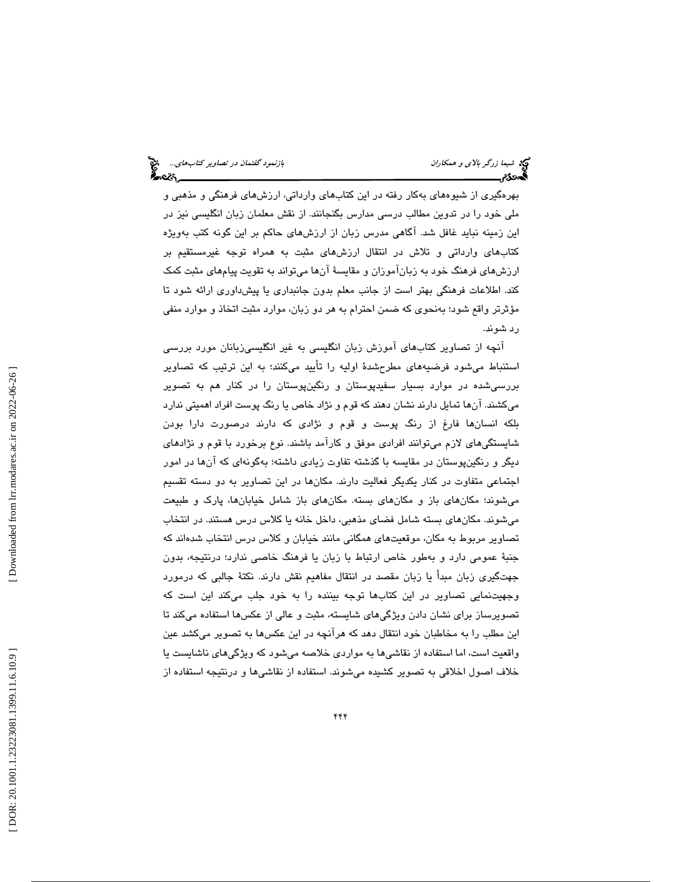بهرهگيري از شيوههاي بهكار رفته در اين كتابهاي وارداتي، ارزشهاي فرهنگي و مذهبي و ملي خود را در تدوين مطالب درسي مدارس بگنجانند. از نقش معلمان زبان انگليسي نيز در اين زمينه نبايد غافل شد. آگاهي مدرس زبان از ارزشهاي حاكم بر اين گونه كتب بهويژه كتابهاي وارداتي و تلاش در انتقال ارزشهاي مثبت به همراه توجه غيرمستقيم بر ارزشهاي فرهنگ خود به زبانآموزان و مقايسة آنها ميتواند به تقويت پيامهاي مثبت كمك كند. اطلاعات فرهنگي بهتر است از جانب معلم بدون جانبداري يا پيشداوري ارائه شود تا مؤثرتر واقع شود؛ بهنحوي كه ضمن احترام به هر دو زبان، موارد مثبت اتخاذ و موارد منفي رد شوند.

آنچه از تصاوير كتابهاي آموزش زبان انگليسي به غير انگليسيزبانان مورد بررسي استنباط ميشود فرضيههاي مطرحشدة اوليه را تأييد ميكنند؛ به اين ترتيب كه تصاوير بررسيشده در موارد بسيار سفيدپوستان و رنگينپوستان را در كنار هم به تصوير ميكشند. آنها تمايل دارند نشان دهند كه قوم و نژاد خاص يا رنگ پوست افراد اهميتي ندارد بلكه انسانها فارغ از رنگ پوست و قوم و نژادي كه دارند درصورت دارا بودن شايستگيهاي لازم ميتوانند افرادي موفق و كارآمد باشند. نوع برخورد با قوم و نژادهاي ديگر و رنگينپوستان در مقايسه با گذشته تفاوت زيادي داشته؛ بهگونهاي كه آنها در امور اجتماعي متفاوت در كنار يكديگر فعاليت دارند. مكانها در اين تصاوير به دو دسته تقسيم ميشوند؛ مكانهاي باز و مكانهاي بسته. مكانهاي باز شامل خيابانها، پارك و طبيعت ميشوند. مكانهاي بسته شامل فضاي مذهبي، داخل خانه يا كلاس درس هستند. در انتخاب تصاوير مربوط به مكان، موقعيتهاي همگاني مانند خيابان و كلاس درس انتخاب شدهاند كه جنبة عمومي دارد و بهطور خاص ارتباط با زبان يا فرهنگ خاصي ندارد؛ درنتيجه، بدون جهتگيري زبان مبدأ يا زبان مقصد در انتقال مفاهيم نقش دارند. نكتة جالبي كه درمورد وجهيتنمايي تصاوير در اين كتابها توجه بيننده را به خود جلب ميكند اين است كه تصويرساز براي نشان دادن ويژگيهاي شايسته، مثبت و عالي از عكسها استفاده ميكند تا اين مطلب را به مخاطبان خود انتقال دهد كه هرآنچه در اين عكسها به تصوير ميكشد عين واقعيت است ، اما استفاده از نقاشيها به مواردي خلاصه ميشود كه ويژگيهاي ناشايست يا خلاف اصول اخلاقي به تصوير كشيده ميشوند. استفاده از نقاشيها و درنتيجه استفاده از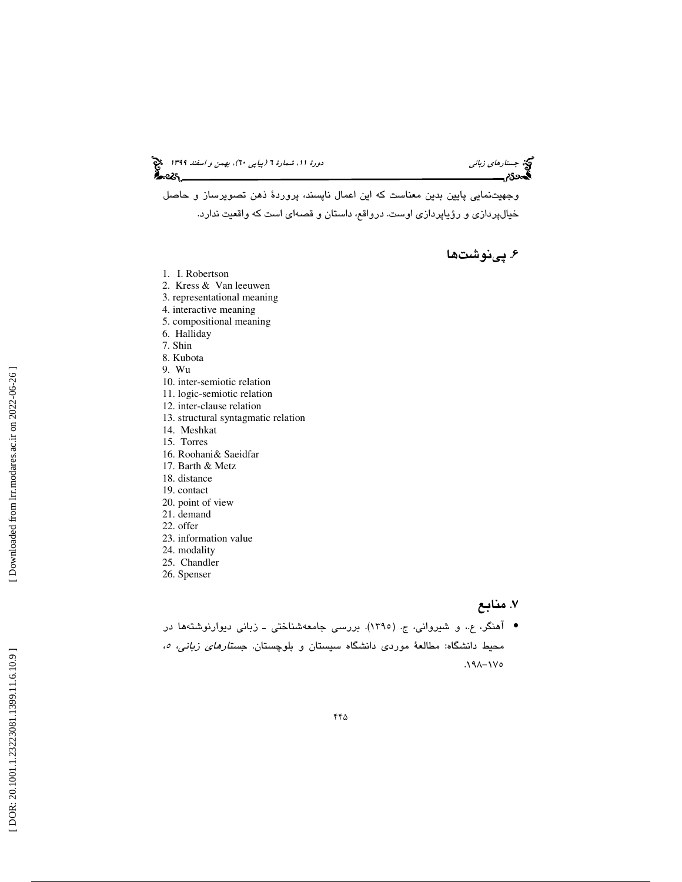جستارهاي زباني (به اسفند 1399 )، بهمن و اسفند 1399 (بيا بهمن و اسفند 1394 )

وجهيتنمايي پايين بدين معناست كه اين اعمال ناپسند، پروردة ذهن تصويرساز و حاصل خيالپردازي و رؤياپردازي اوست. درواقع، داستان و قصهاي است كه واقعيت ندارد.

# . پينوشتها 6

- 1. I. Robertson
- 2. Kress & Van leeuwen
- 3. representational meaning
- 4. interactive meaning
- 5. compositional meaning
- 6. Halliday
- 7. Shin
- 8. Kubota
- 9. Wu
- 10. inter-semiotic relation
- 11. logic-semiotic relation
- 12. inter-clause relation
- 13. structural syntagmatic relation
- 14. Meshkat
- 15. Torres
- 16. Roohani& Saeidfar
- 17. Barth & Metz
- 18. distance
- 19. contact
- 20. point of view
- 21. demand
- 22. offer
- 23. information value
- 24. modality
- 25. Chandler
- 26. Spenser

# 7. منابع

• آهنگر، ع.، و شیروانی، ج. (١٣٩٥). بررسی جامعهشناختی ــ زبانی دیوارنوشتهها در محیط دانشگاه: مطالعهٔ موردی دانشگاه سیستان و بلوچستان. *جستارهای زبانی، ه*،<br>۱۷۵–۱۹۸.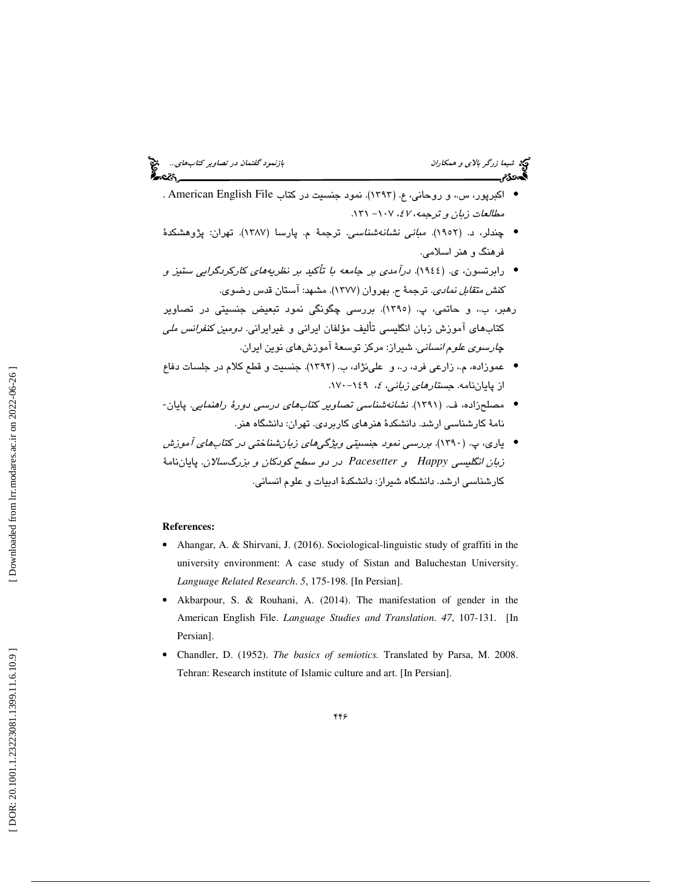شيما زرگر *بالاي و همكاران بازنمود گفتمان در تصاوير كتابهاي...*. ميچ<br>**بازن**مود بازنمود بازنمود بازنمود گفت بازنمود گفتمان در تصاوير كتابهاي بازنمود گفتمان در تصاوير كتاب بازنمود گفت<br>پايان بازنمود بازنمود بازنمود بازنمود ب

- اكبرپور، س.، و روحاني، ع. (١٣٩٣). نمود جنسيت در كتاب American English File . مطالعات زبان و ترجمه، ٤٧، ١٠٧ - ١٣١.
- چندلر، د. (1952). مباني نشانهشناسي. ترجمة م. پارسا (1387). تهران: پژوهشكدة فرهنگ و هنر اسلامي.
- رابرتسون، ي. (1944). درآمدي بر جامعه با تأكيد بر نظريههاي كاركردگرايي ستيز و كن*ش متقابل نمادي.* ترجمهٔ ح. بهروان (۱۳۷۷). مشهد: آستان قدس رضوي.
- رهبر، ب،. و حاتمي، پ. (1395). بررسي چگونگي نمود تبعيض جنسيتي در تصاوير كتابهاي آموزش زبان انگليسي تأليف مؤلفان ايراني و غيرايراني. دومين كنفرانس ملي چ*ارسوي علوم انساني*. شيراز: مركز توسعهٔ آموزشهاي نوين ايران.
- عموزاده، م،. زارعي فرد، ر،. و علينژاد، ب. (1392). جنسيت و قطع كلام در جلسات دفاع از پایاننامه. *جستار<i>های زبانی، ٤،* ۱۶۹–۱۷۰.
- مصلحزاده، ف. (١٣٩١). ن*شانهشناسي تصاوير كتابهاي درسي دورهٔ راهنمايي.* پايان-نامة كارشناسي ارشد. دانشكدة هنرهاي كاربردي. تهران: دانشگاه هنر.
- ياري، پ. (1390). بررسي نمود جنسيتي ويژگيهاي زبانشناختي در كتابهاي آموزش زبان انگليسي *Happy* و *Pacesetter* در دو سطح كودكان و بزرگسالان. پاياننامة كارشناسي ارشد. دانشگاه شيراز: دانشكدة ادبيات و علوم انساني.

#### **References:**

- Ahangar, A. & Shirvani, J. (2016). Sociological-linguistic study of graffiti in the university environment: A case study of Sistan and Baluchestan University. *Language Related Research*. *5*, 175-198. [In Persian].
- Akbarpour, S. & Rouhani, A. (2014). The manifestation of gender in the American English File. *Language Studies and Translation*. *47*, 107-131. [In Persian].
- Chandler, D. (1952). *The basics of semiotics.* Translated by Parsa, M. 2008. Tehran: Research institute of Islamic culture and art. [In Persian].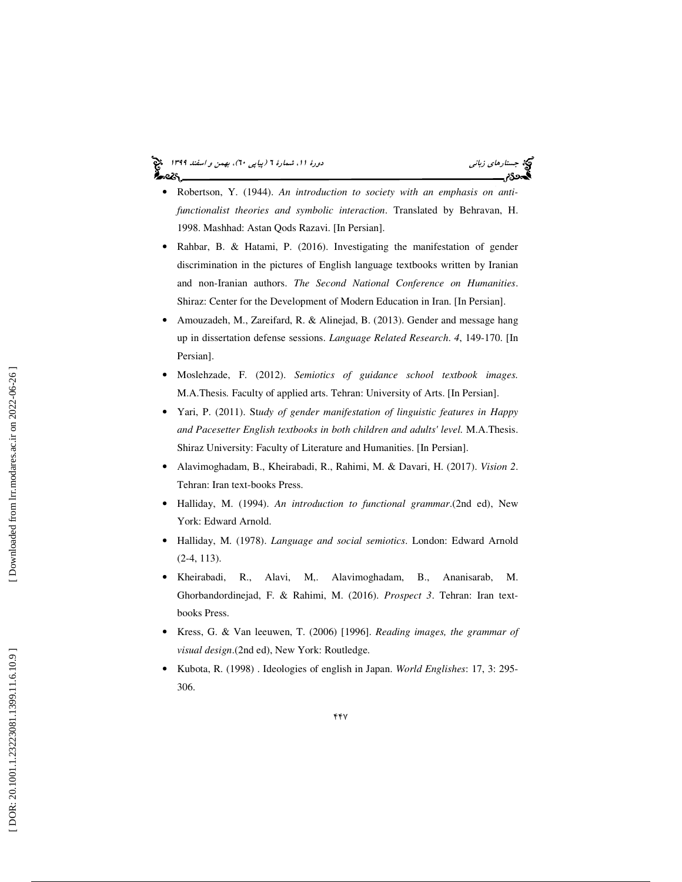# جستارهاي زباني (به اسفند 1399 )، بهمن و اسفند 1399 (بيا بهمن و اسفند 1394 )

- Robertson, Y. (1944). *An introduction to society with an emphasis on anti functionalist theories and symbolic interaction*. Translated by Behravan, H. 1998. Mashhad: Astan Qods Razavi. [In Persian].
- Rahbar, B. & Hatami, P. (2016). Investigating the manifestation of gender discrimination in the pictures of English language textbooks written by Iranian and non-Iranian authors. *The Second National Conference on Humanities*. Shiraz: Center for the Development of Modern Education in Iran. [In Persian].
- Amouzadeh, M., Zareifard, R. & Alinejad, B. (2013). Gender and message hang up in dissertation defense sessions. *Language Related Research*. *4*, 149-170. [In Persian].
- Moslehzade, F. (2012). *Semiotics of guidance school textbook images.*  M.A.Thesis *.* Faculty of applied arts. Tehran: University of Arts. [In Persian].
- Yari, P. (2011). St*udy of gender manifestation of linguistic features in Happy and Pacesetter English textbooks in both children and adults' level.* M.A.Thesis. Shiraz University: Faculty of Literature and Humanities. [In Persian].
- Alavimoghadam, B., Kheirabadi, R., Rahimi, M. & Davari, H. (2017). *Vision 2*. Tehran: Iran text-books Press.
- Halliday, M. (1994). *An introduction to functional grammar*.(2nd ed), New York: Edward Arnold.
- Halliday, M. (1978). *Language and social semiotics*. London: Edward Arnold (2-4, 113).
- Kheirabadi, R., Alavi, M,. Alavimoghadam, B., Ananisarab, M. Ghorbandordinejad, F. & Rahimi, M. (2016). *Prospect 3*. Tehran: Iran textbooks Press.
- Kress, G. & Van leeuwen, T. (2006) [1996]. *Reading images, the grammar of visual design*.(2nd ed), New York: Routledge.
- Kubota, R. (1998) . Ideologies of english in Japan. *World Englishes*: 17, 3: 295- 306.